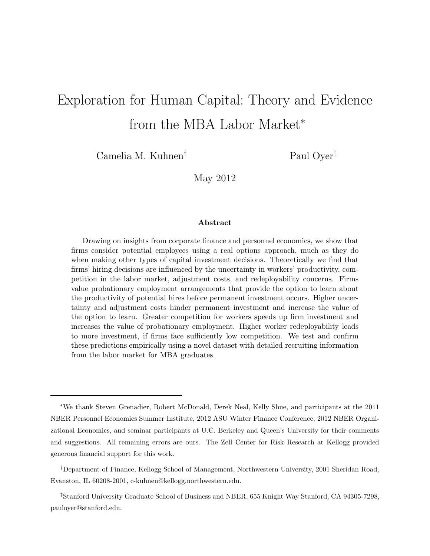# Exploration for Human Capital: Theory and Evidence from the MBA Labor Market<sup>\*</sup>

Camelia M. Kuhnen† Paul Oyer‡

May 2012

#### Abstract

Drawing on insights from corporate finance and personnel economics, we show that firms consider potential employees using a real options approach, much as they do when making other types of capital investment decisions. Theoretically we find that firms' hiring decisions are influenced by the uncertainty in workers' productivity, competition in the labor market, adjustment costs, and redeployability concerns. Firms value probationary employment arrangements that provide the option to learn about the productivity of potential hires before permanent investment occurs. Higher uncertainty and adjustment costs hinder permanent investment and increase the value of the option to learn. Greater competition for workers speeds up firm investment and increases the value of probationary employment. Higher worker redeployability leads to more investment, if firms face sufficiently low competition. We test and confirm these predictions empirically using a novel dataset with detailed recruiting information from the labor market for MBA graduates.

†Department of Finance, Kellogg School of Management, Northwestern University, 2001 Sheridan Road, Evanston, IL 60208-2001, c-kuhnen@kellogg.northwestern.edu.

‡Stanford University Graduate School of Business and NBER, 655 Knight Way Stanford, CA 94305-7298, pauloyer@stanford.edu.

<sup>∗</sup>We thank Steven Grenadier, Robert McDonald, Derek Neal, Kelly Shue, and participants at the 2011 NBER Personnel Economics Summer Institute, 2012 ASU Winter Finance Conference, 2012 NBER Organizational Economics, and seminar participants at U.C. Berkeley and Queen's University for their comments and suggestions. All remaining errors are ours. The Zell Center for Risk Research at Kellogg provided generous financial support for this work.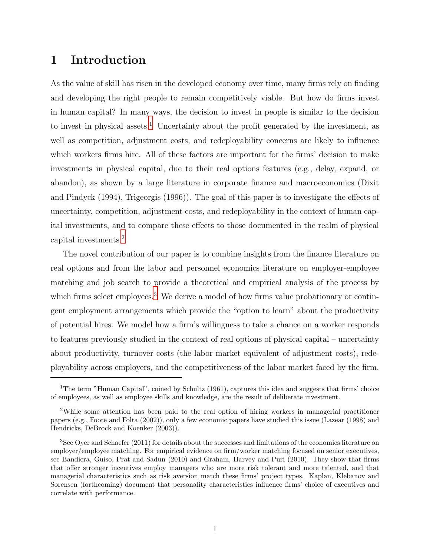## 1 Introduction

As the value of skill has risen in the developed economy over time, many firms rely on finding and developing the right people to remain competitively viable. But how do firms invest in human capital? In many ways, the decision to invest in people is similar to the decision to invest in physical assets.<sup>1</sup> Uncertainty about the profit generated by the investment, as well as competition, adjustment costs, and redeployability concerns are likely to influence which workers firms hire. All of these factors are important for the firms' decision to make investments in physical capital, due to their real options features (e.g., delay, expand, or abandon), as shown by a large literature in corporate finance and macroeconomics (Dixit and Pindyck (1994), Trigeorgis (1996)). The goal of this paper is to investigate the effects of uncertainty, competition, adjustment costs, and redeployability in the context of human capital investments, and to compare these effects to those documented in the realm of physical capital investments.<sup>2</sup>

The novel contribution of our paper is to combine insights from the finance literature on real options and from the labor and personnel economics literature on employer-employee matching and job search to provide a theoretical and empirical analysis of the process by which firms select employees.<sup>3</sup> We derive a model of how firms value probationary or contingent employment arrangements which provide the "option to learn" about the productivity of potential hires. We model how a firm's willingness to take a chance on a worker responds to features previously studied in the context of real options of physical capital – uncertainty about productivity, turnover costs (the labor market equivalent of adjustment costs), redeployability across employers, and the competitiveness of the labor market faced by the firm.

<sup>&</sup>lt;sup>1</sup>The term "Human Capital", coined by Schultz  $(1961)$ , captures this idea and suggests that firms' choice of employees, as well as employee skills and knowledge, are the result of deliberate investment.

<sup>2</sup>While some attention has been paid to the real option of hiring workers in managerial practitioner papers (e.g., Foote and Folta (2002)), only a few economic papers have studied this issue (Lazear (1998) and Hendricks, DeBrock and Koenker (2003)).

<sup>3</sup>See Oyer and Schaefer (2011) for details about the successes and limitations of the economics literature on employer/employee matching. For empirical evidence on firm/worker matching focused on senior executives, see Bandiera, Guiso, Prat and Sadun (2010) and Graham, Harvey and Puri (2010). They show that firms that offer stronger incentives employ managers who are more risk tolerant and more talented, and that managerial characteristics such as risk aversion match these firms' project types. Kaplan, Klebanov and Sorensen (forthcoming) document that personality characteristics influence firms' choice of executives and correlate with performance.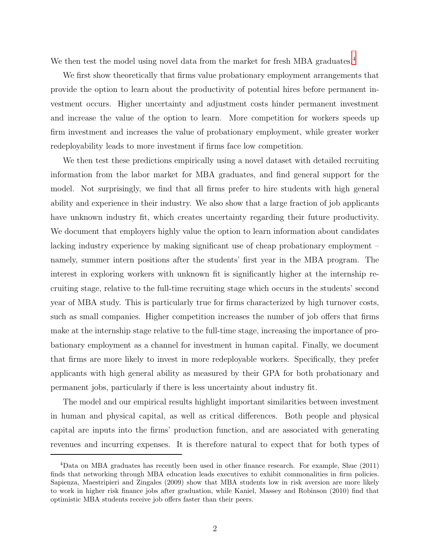We then test the model using novel data from the market for fresh MBA graduates.<sup>4</sup>

We first show theoretically that firms value probationary employment arrangements that provide the option to learn about the productivity of potential hires before permanent investment occurs. Higher uncertainty and adjustment costs hinder permanent investment and increase the value of the option to learn. More competition for workers speeds up firm investment and increases the value of probationary employment, while greater worker redeployability leads to more investment if firms face low competition.

We then test these predictions empirically using a novel dataset with detailed recruiting information from the labor market for MBA graduates, and find general support for the model. Not surprisingly, we find that all firms prefer to hire students with high general ability and experience in their industry. We also show that a large fraction of job applicants have unknown industry fit, which creates uncertainty regarding their future productivity. We document that employers highly value the option to learn information about candidates lacking industry experience by making significant use of cheap probationary employment – namely, summer intern positions after the students' first year in the MBA program. The interest in exploring workers with unknown fit is significantly higher at the internship recruiting stage, relative to the full-time recruiting stage which occurs in the students' second year of MBA study. This is particularly true for firms characterized by high turnover costs, such as small companies. Higher competition increases the number of job offers that firms make at the internship stage relative to the full-time stage, increasing the importance of probationary employment as a channel for investment in human capital. Finally, we document that firms are more likely to invest in more redeployable workers. Specifically, they prefer applicants with high general ability as measured by their GPA for both probationary and permanent jobs, particularly if there is less uncertainty about industry fit.

The model and our empirical results highlight important similarities between investment in human and physical capital, as well as critical differences. Both people and physical capital are inputs into the firms' production function, and are associated with generating revenues and incurring expenses. It is therefore natural to expect that for both types of

<sup>4</sup>Data on MBA graduates has recently been used in other finance research. For example, Shue (2011) finds that networking through MBA education leads executives to exhibit commonalities in firm policies. Sapienza, Maestripieri and Zingales (2009) show that MBA students low in risk aversion are more likely to work in higher risk finance jobs after graduation, while Kaniel, Massey and Robinson (2010) find that optimistic MBA students receive job offers faster than their peers.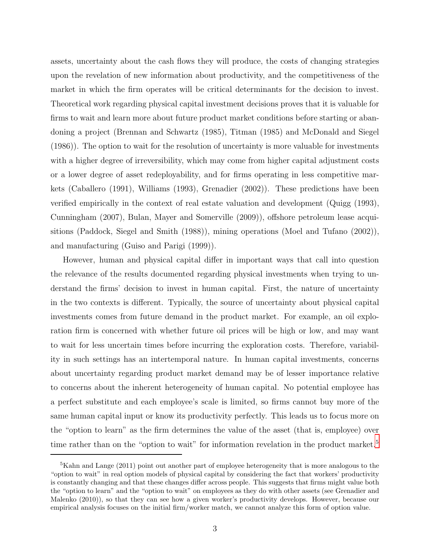assets, uncertainty about the cash flows they will produce, the costs of changing strategies upon the revelation of new information about productivity, and the competitiveness of the market in which the firm operates will be critical determinants for the decision to invest. Theoretical work regarding physical capital investment decisions proves that it is valuable for firms to wait and learn more about future product market conditions before starting or abandoning a project (Brennan and Schwartz (1985), Titman (1985) and McDonald and Siegel (1986)). The option to wait for the resolution of uncertainty is more valuable for investments with a higher degree of irreversibility, which may come from higher capital adjustment costs or a lower degree of asset redeployability, and for firms operating in less competitive markets (Caballero (1991), Williams (1993), Grenadier (2002)). These predictions have been verified empirically in the context of real estate valuation and development (Quigg (1993), Cunningham (2007), Bulan, Mayer and Somerville (2009)), offshore petroleum lease acquisitions (Paddock, Siegel and Smith (1988)), mining operations (Moel and Tufano (2002)), and manufacturing (Guiso and Parigi (1999)).

However, human and physical capital differ in important ways that call into question the relevance of the results documented regarding physical investments when trying to understand the firms' decision to invest in human capital. First, the nature of uncertainty in the two contexts is different. Typically, the source of uncertainty about physical capital investments comes from future demand in the product market. For example, an oil exploration firm is concerned with whether future oil prices will be high or low, and may want to wait for less uncertain times before incurring the exploration costs. Therefore, variability in such settings has an intertemporal nature. In human capital investments, concerns about uncertainty regarding product market demand may be of lesser importance relative to concerns about the inherent heterogeneity of human capital. No potential employee has a perfect substitute and each employee's scale is limited, so firms cannot buy more of the same human capital input or know its productivity perfectly. This leads us to focus more on the "option to learn" as the firm determines the value of the asset (that is, employee) over time rather than on the "option to wait" for information revelation in the product market.<sup>5</sup>

<sup>&</sup>lt;sup>5</sup>Kahn and Lange (2011) point out another part of employee heterogeneity that is more analogous to the "option to wait" in real option models of physical capital by considering the fact that workers' productivity is constantly changing and that these changes differ across people. This suggests that firms might value both the "option to learn" and the "option to wait" on employees as they do with other assets (see Grenadier and Malenko (2010)), so that they can see how a given worker's productivity develops. However, because our empirical analysis focuses on the initial firm/worker match, we cannot analyze this form of option value.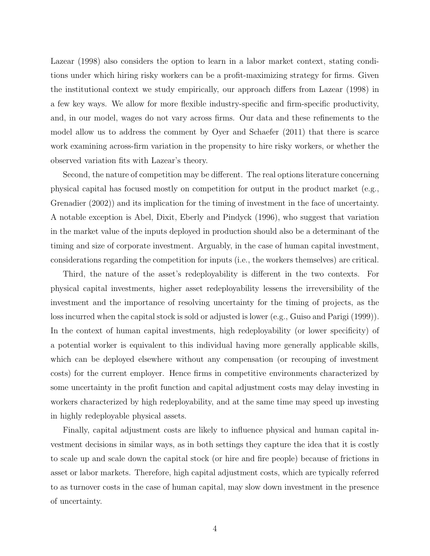Lazear (1998) also considers the option to learn in a labor market context, stating conditions under which hiring risky workers can be a profit-maximizing strategy for firms. Given the institutional context we study empirically, our approach differs from Lazear (1998) in a few key ways. We allow for more flexible industry-specific and firm-specific productivity, and, in our model, wages do not vary across firms. Our data and these refinements to the model allow us to address the comment by Oyer and Schaefer (2011) that there is scarce work examining across-firm variation in the propensity to hire risky workers, or whether the observed variation fits with Lazear's theory.

Second, the nature of competition may be different. The real options literature concerning physical capital has focused mostly on competition for output in the product market (e.g., Grenadier (2002)) and its implication for the timing of investment in the face of uncertainty. A notable exception is Abel, Dixit, Eberly and Pindyck (1996), who suggest that variation in the market value of the inputs deployed in production should also be a determinant of the timing and size of corporate investment. Arguably, in the case of human capital investment, considerations regarding the competition for inputs (i.e., the workers themselves) are critical.

Third, the nature of the asset's redeployability is different in the two contexts. For physical capital investments, higher asset redeployability lessens the irreversibility of the investment and the importance of resolving uncertainty for the timing of projects, as the loss incurred when the capital stock is sold or adjusted is lower (e.g., Guiso and Parigi (1999)). In the context of human capital investments, high redeployability (or lower specificity) of a potential worker is equivalent to this individual having more generally applicable skills, which can be deployed elsewhere without any compensation (or recouping of investment costs) for the current employer. Hence firms in competitive environments characterized by some uncertainty in the profit function and capital adjustment costs may delay investing in workers characterized by high redeployability, and at the same time may speed up investing in highly redeployable physical assets.

Finally, capital adjustment costs are likely to influence physical and human capital investment decisions in similar ways, as in both settings they capture the idea that it is costly to scale up and scale down the capital stock (or hire and fire people) because of frictions in asset or labor markets. Therefore, high capital adjustment costs, which are typically referred to as turnover costs in the case of human capital, may slow down investment in the presence of uncertainty.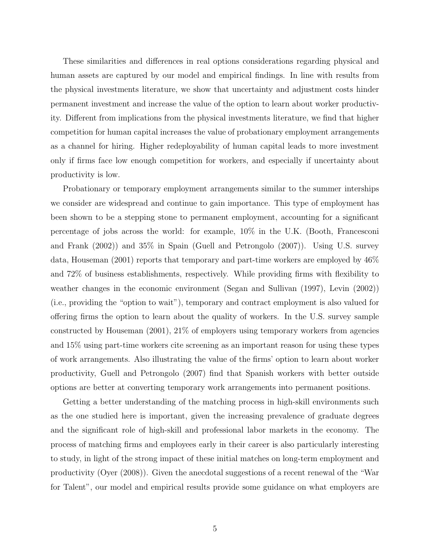These similarities and differences in real options considerations regarding physical and human assets are captured by our model and empirical findings. In line with results from the physical investments literature, we show that uncertainty and adjustment costs hinder permanent investment and increase the value of the option to learn about worker productivity. Different from implications from the physical investments literature, we find that higher competition for human capital increases the value of probationary employment arrangements as a channel for hiring. Higher redeployability of human capital leads to more investment only if firms face low enough competition for workers, and especially if uncertainty about productivity is low.

Probationary or temporary employment arrangements similar to the summer interships we consider are widespread and continue to gain importance. This type of employment has been shown to be a stepping stone to permanent employment, accounting for a significant percentage of jobs across the world: for example, 10% in the U.K. (Booth, Francesconi and Frank (2002)) and 35% in Spain (Guell and Petrongolo (2007)). Using U.S. survey data, Houseman (2001) reports that temporary and part-time workers are employed by 46% and 72% of business establishments, respectively. While providing firms with flexibility to weather changes in the economic environment (Segan and Sullivan (1997), Levin (2002)) (i.e., providing the "option to wait"), temporary and contract employment is also valued for offering firms the option to learn about the quality of workers. In the U.S. survey sample constructed by Houseman (2001), 21% of employers using temporary workers from agencies and 15% using part-time workers cite screening as an important reason for using these types of work arrangements. Also illustrating the value of the firms' option to learn about worker productivity, Guell and Petrongolo (2007) find that Spanish workers with better outside options are better at converting temporary work arrangements into permanent positions.

Getting a better understanding of the matching process in high-skill environments such as the one studied here is important, given the increasing prevalence of graduate degrees and the significant role of high-skill and professional labor markets in the economy. The process of matching firms and employees early in their career is also particularly interesting to study, in light of the strong impact of these initial matches on long-term employment and productivity (Oyer (2008)). Given the anecdotal suggestions of a recent renewal of the "War for Talent", our model and empirical results provide some guidance on what employers are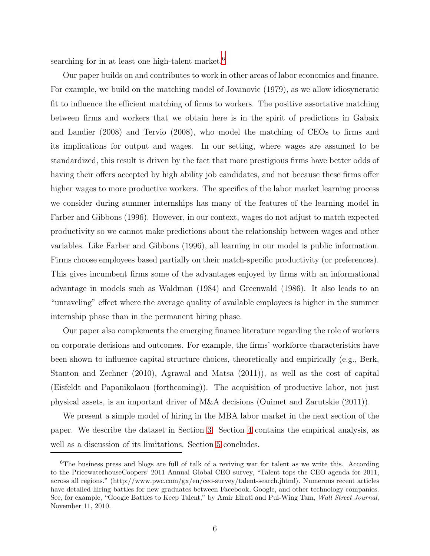searching for in at least one high-talent market.<sup>6</sup>

Our paper builds on and contributes to work in other areas of labor economics and finance. For example, we build on the matching model of Jovanovic (1979), as we allow idiosyncratic fit to influence the efficient matching of firms to workers. The positive assortative matching between firms and workers that we obtain here is in the spirit of predictions in Gabaix and Landier (2008) and Tervio (2008), who model the matching of CEOs to firms and its implications for output and wages. In our setting, where wages are assumed to be standardized, this result is driven by the fact that more prestigious firms have better odds of having their offers accepted by high ability job candidates, and not because these firms offer higher wages to more productive workers. The specifics of the labor market learning process we consider during summer internships has many of the features of the learning model in Farber and Gibbons (1996). However, in our context, wages do not adjust to match expected productivity so we cannot make predictions about the relationship between wages and other variables. Like Farber and Gibbons (1996), all learning in our model is public information. Firms choose employees based partially on their match-specific productivity (or preferences). This gives incumbent firms some of the advantages enjoyed by firms with an informational advantage in models such as Waldman (1984) and Greenwald (1986). It also leads to an "unraveling" effect where the average quality of available employees is higher in the summer internship phase than in the permanent hiring phase.

Our paper also complements the emerging finance literature regarding the role of workers on corporate decisions and outcomes. For example, the firms' workforce characteristics have been shown to influence capital structure choices, theoretically and empirically (e.g., Berk, Stanton and Zechner (2010), Agrawal and Matsa (2011)), as well as the cost of capital (Eisfeldt and Papanikolaou (forthcoming)). The acquisition of productive labor, not just physical assets, is an important driver of M&A decisions (Ouimet and Zarutskie (2011)).

We present a simple model of hiring in the MBA labor market in the next section of the paper. We describe the dataset in Section [3.](#page-17-0) Section [4](#page-19-0) contains the empirical analysis, as well as a discussion of its limitations. Section [5](#page-28-0) concludes.

<sup>&</sup>lt;sup>6</sup>The business press and blogs are full of talk of a reviving war for talent as we write this. According to the PricewaterhouseCoopers' 2011 Annual Global CEO survey, "Talent tops the CEO agenda for 2011, across all regions." (http://www.pwc.com/gx/en/ceo-survey/talent-search.jhtml). Numerous recent articles have detailed hiring battles for new graduates between Facebook, Google, and other technology companies. See, for example, "Google Battles to Keep Talent," by Amir Efrati and Pui-Wing Tam, Wall Street Journal, November 11, 2010.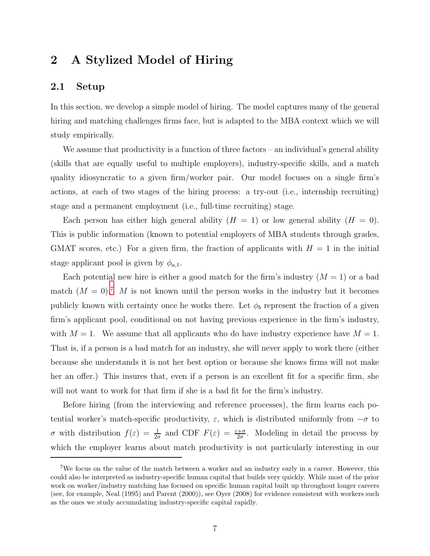## 2 A Stylized Model of Hiring

#### 2.1 Setup

In this section, we develop a simple model of hiring. The model captures many of the general hiring and matching challenges firms face, but is adapted to the MBA context which we will study empirically.

We assume that productivity is a function of three factors – an individual's general ability (skills that are equally useful to multiple employers), industry-specific skills, and a match quality idiosyncratic to a given firm/worker pair. Our model focuses on a single firm's actions, at each of two stages of the hiring process: a try-out (i.e., internship recruiting) stage and a permanent employment (i.e., full-time recruiting) stage.

Each person has either high general ability  $(H = 1)$  or low general ability  $(H = 0)$ . This is public information (known to potential employers of MBA students through grades, GMAT scores, etc.) For a given firm, the fraction of applicants with  $H = 1$  in the initial stage applicant pool is given by  $\phi_{a,1}$ .

Each potential new hire is either a good match for the firm's industry  $(M = 1)$  or a bad match  $(M = 0)^7$  M is not known until the person works in the industry but it becomes publicly known with certainty once he works there. Let  $\phi_b$  represent the fraction of a given firm's applicant pool, conditional on not having previous experience in the firm's industry, with  $M = 1$ . We assume that all applicants who do have industry experience have  $M = 1$ . That is, if a person is a bad match for an industry, she will never apply to work there (either because she understands it is not her best option or because she knows firms will not make her an offer.) This insures that, even if a person is an excellent fit for a specific firm, she will not want to work for that firm if she is a bad fit for the firm's industry.

Before hiring (from the interviewing and reference processes), the firm learns each potential worker's match-specific productivity,  $\varepsilon$ , which is distributed uniformly from  $-\sigma$  to σ with distribution  $f(\varepsilon) = \frac{1}{2\sigma}$  and CDF  $F(\varepsilon) = \frac{\varepsilon + \sigma}{2\sigma}$ . Modeling in detail the process by which the employer learns about match productivity is not particularly interesting in our

<sup>7</sup>We focus on the value of the match between a worker and an industry early in a career. However, this could also be interpreted as industry-specific human capital that builds very quickly. While most of the prior work on worker/industry matching has focused on specific human capital built up throughout longer careers (see, for example, Neal (1995) and Parent (2000)), see Oyer (2008) for evidence consistent with workers such as the ones we study accumulating industry-specific capital rapidly.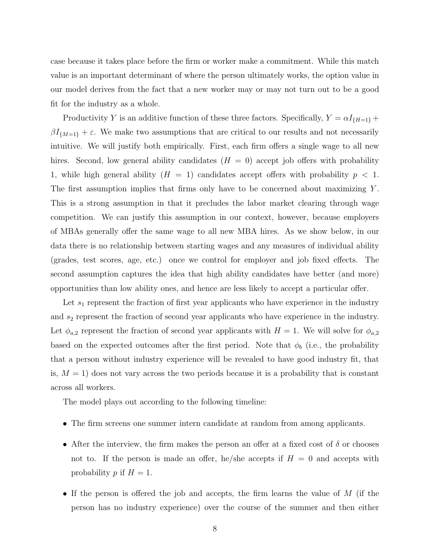case because it takes place before the firm or worker make a commitment. While this match value is an important determinant of where the person ultimately works, the option value in our model derives from the fact that a new worker may or may not turn out to be a good fit for the industry as a whole.

Productivity Y is an additive function of these three factors. Specifically,  $Y = \alpha I_{\{H=1\}} +$  $\beta I_{\{M=1\}} + \varepsilon$ . We make two assumptions that are critical to our results and not necessarily intuitive. We will justify both empirically. First, each firm offers a single wage to all new hires. Second, low general ability candidates  $(H = 0)$  accept job offers with probability 1, while high general ability  $(H = 1)$  candidates accept offers with probability  $p < 1$ . The first assumption implies that firms only have to be concerned about maximizing  $Y$ . This is a strong assumption in that it precludes the labor market clearing through wage competition. We can justify this assumption in our context, however, because employers of MBAs generally offer the same wage to all new MBA hires. As we show below, in our data there is no relationship between starting wages and any measures of individual ability (grades, test scores, age, etc.) once we control for employer and job fixed effects. The second assumption captures the idea that high ability candidates have better (and more) opportunities than low ability ones, and hence are less likely to accept a particular offer.

Let  $s_1$  represent the fraction of first year applicants who have experience in the industry and  $s_2$  represent the fraction of second year applicants who have experience in the industry. Let  $\phi_{a,2}$  represent the fraction of second year applicants with  $H = 1$ . We will solve for  $\phi_{a,2}$ based on the expected outcomes after the first period. Note that  $\phi_b$  (i.e., the probability that a person without industry experience will be revealed to have good industry fit, that is,  $M = 1$ ) does not vary across the two periods because it is a probability that is constant across all workers.

The model plays out according to the following timeline:

- The firm screens one summer intern candidate at random from among applicants.
- After the interview, the firm makes the person an offer at a fixed cost of  $\delta$  or chooses not to. If the person is made an offer, he/she accepts if  $H = 0$  and accepts with probability p if  $H = 1$ .
- If the person is offered the job and accepts, the firm learns the value of M (if the person has no industry experience) over the course of the summer and then either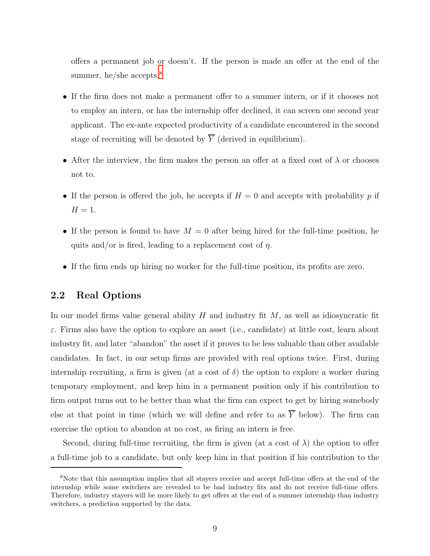offers a permanent job or doesn't. If the person is made an offer at the end of the summer, he/she accepts. $8$ 

- If the firm does not make a permanent offer to a summer intern, or if it chooses not to employ an intern, or has the internship offer declined, it can screen one second year applicant. The ex-ante expected productivity of a candidate encountered in the second stage of recruiting will be denoted by  $\overline{Y}$  (derived in equilibrium).
- After the interview, the firm makes the person an offer at a fixed cost of  $\lambda$  or chooses not to.
- If the person is offered the job, he accepts if  $H = 0$  and accepts with probability p if  $H=1$ .
- If the person is found to have  $M = 0$  after being hired for the full-time position, he quits and/or is fired, leading to a replacement cost of  $\eta$ .
- If the firm ends up hiring no worker for the full-time position, its profits are zero.

#### 2.2 Real Options

In our model firms value general ability  $H$  and industry fit  $M$ , as well as idiosyncratic fit  $\varepsilon$ . Firms also have the option to explore an asset (i.e., candidate) at little cost, learn about industry fit, and later "abandon" the asset if it proves to be less valuable than other available candidates. In fact, in our setup firms are provided with real options twice. First, during internship recruiting, a firm is given (at a cost of  $\delta$ ) the option to explore a worker during temporary employment, and keep him in a permanent position only if his contribution to firm output turns out to be better than what the firm can expect to get by hiring somebody else at that point in time (which we will define and refer to as  $\overline{Y}$  below). The firm can exercise the option to abandon at no cost, as firing an intern is free.

Second, during full-time recruiting, the firm is given (at a cost of  $\lambda$ ) the option to offer a full-time job to a candidate, but only keep him in that position if his contribution to the

<sup>8</sup>Note that this assumption implies that all stayers receive and accept full-time offers at the end of the internship while some switchers are revealed to be bad industry fits and do not receive full-time offers. Therefore, industry stayers will be more likely to get offers at the end of a summer internship than industry switchers, a prediction supported by the data.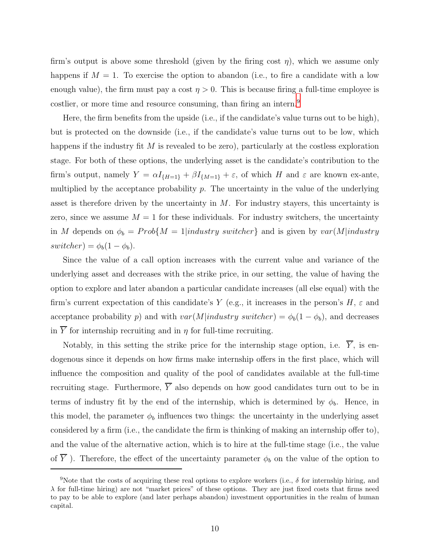firm's output is above some threshold (given by the firing cost  $\eta$ ), which we assume only happens if  $M = 1$ . To exercise the option to abandon (i.e., to fire a candidate with a low enough value), the firm must pay a cost  $\eta > 0$ . This is because firing a full-time employee is costlier, or more time and resource consuming, than firing an intern.<sup>9</sup>

Here, the firm benefits from the upside (i.e., if the candidate's value turns out to be high), but is protected on the downside (i.e., if the candidate's value turns out to be low, which happens if the industry fit  $M$  is revealed to be zero), particularly at the costless exploration stage. For both of these options, the underlying asset is the candidate's contribution to the firm's output, namely  $Y = \alpha I_{\{H=1\}} + \beta I_{\{M=1\}} + \varepsilon$ , of which H and  $\varepsilon$  are known ex-ante, multiplied by the acceptance probability  $p$ . The uncertainty in the value of the underlying asset is therefore driven by the uncertainty in  $M$ . For industry stayers, this uncertainty is zero, since we assume  $M = 1$  for these individuals. For industry switchers, the uncertainty in M depends on  $\phi_b = Prob\{M = 1| industry\ switcher\}$  and is given by  $var(M|industry)$  $switcher) = \phi_b(1-\phi_b).$ 

Since the value of a call option increases with the current value and variance of the underlying asset and decreases with the strike price, in our setting, the value of having the option to explore and later abandon a particular candidate increases (all else equal) with the firm's current expectation of this candidate's Y (e.g., it increases in the person's  $H$ ,  $\varepsilon$  and acceptance probability p) and with  $var(M|industry switcher) = \phi_b(1 - \phi_b)$ , and decreases in  $\overline{Y}$  for internship recruiting and in  $\eta$  for full-time recruiting.

Notably, in this setting the strike price for the internship stage option, i.e.  $\overline{Y}$ , is endogenous since it depends on how firms make internship offers in the first place, which will influence the composition and quality of the pool of candidates available at the full-time recruiting stage. Furthermore,  $\overline{Y}$  also depends on how good candidates turn out to be in terms of industry fit by the end of the internship, which is determined by  $\phi_b$ . Hence, in this model, the parameter  $\phi_b$  influences two things: the uncertainty in the underlying asset considered by a firm (i.e., the candidate the firm is thinking of making an internship offer to), and the value of the alternative action, which is to hire at the full-time stage (i.e., the value of  $\overline{Y}$ ). Therefore, the effect of the uncertainty parameter  $\phi_b$  on the value of the option to

<sup>&</sup>lt;sup>9</sup>Note that the costs of acquiring these real options to explore workers (i.e.,  $\delta$  for internship hiring, and  $\lambda$  for full-time hiring) are not "market prices" of these options. They are just fixed costs that firms need to pay to be able to explore (and later perhaps abandon) investment opportunities in the realm of human capital.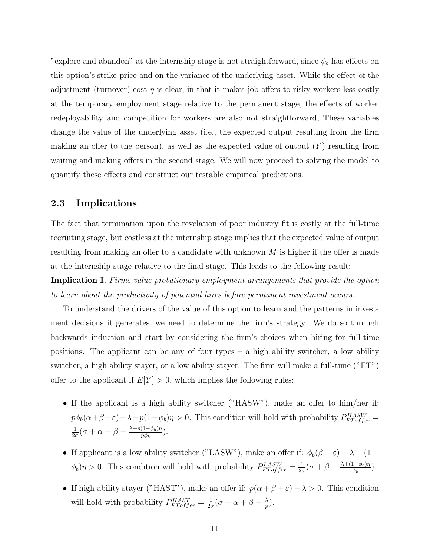"explore and abandon" at the internship stage is not straightforward, since  $\phi_b$  has effects on this option's strike price and on the variance of the underlying asset. While the effect of the adjustment (turnover) cost  $\eta$  is clear, in that it makes job offers to risky workers less costly at the temporary employment stage relative to the permanent stage, the effects of worker redeployability and competition for workers are also not straightforward, These variables change the value of the underlying asset (i.e., the expected output resulting from the firm making an offer to the person), as well as the expected value of output  $(\overline{Y})$  resulting from waiting and making offers in the second stage. We will now proceed to solving the model to quantify these effects and construct our testable empirical predictions.

#### 2.3 Implications

The fact that termination upon the revelation of poor industry fit is costly at the full-time recruiting stage, but costless at the internship stage implies that the expected value of output resulting from making an offer to a candidate with unknown  $M$  is higher if the offer is made at the internship stage relative to the final stage. This leads to the following result:

**Implication I.** Firms value probationary employment arrangements that provide the option to learn about the productivity of potential hires before permanent investment occurs.

To understand the drivers of the value of this option to learn and the patterns in investment decisions it generates, we need to determine the firm's strategy. We do so through backwards induction and start by considering the firm's choices when hiring for full-time positions. The applicant can be any of four types  $-$  a high ability switcher, a low ability switcher, a high ability stayer, or a low ability stayer. The firm will make a full-time ("FT") offer to the applicant if  $E[Y] > 0$ , which implies the following rules:

- If the applicant is a high ability switcher ("HASW"), make an offer to him/her if:  $p\phi_b(\alpha+\beta+\varepsilon)-\lambda-p(1-\phi_b)\eta>0$ . This condition will hold with probability  $P_{FToffer}^{HASW}=$ 1  $\frac{1}{2\sigma}(\sigma+\alpha+\beta-\frac{\lambda+p(1-\phi_b)\eta}{p\phi_b}$  $\frac{(1-\varphi_b)\eta}{p\phi_b}$ ).
- If applicant is a low ability switcher ("LASW"), make an offer if:  $\phi_b(\beta + \varepsilon) \lambda (1 (\phi_b)\eta > 0$ . This condition will hold with probability  $P_{FToffer}^{LASW} = \frac{1}{2c}$  $\frac{1}{2\sigma}(\sigma+\beta-\frac{\lambda+(1-\phi_b)\eta}{\phi_b}$  $\frac{(1-\varphi_b)\eta}{\phi_b}$ ).
- If high ability stayer ("HAST"), make an offer if:  $p(\alpha + \beta + \varepsilon) \lambda > 0$ . This condition will hold with probability  $P_{FToffer}^{HAST} = \frac{1}{2c}$  $\frac{1}{2\sigma}(\sigma+\alpha+\beta-\frac{\lambda}{p}$  $\frac{\lambda}{p}$ ).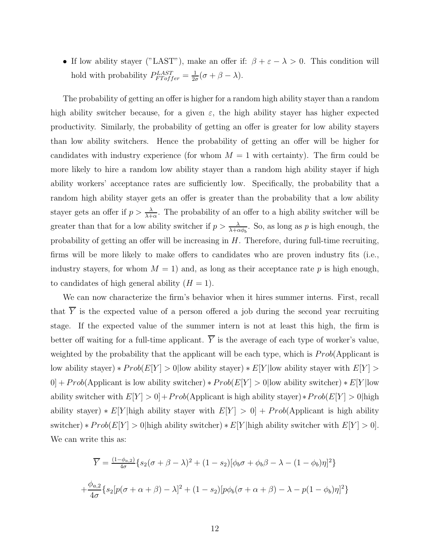• If low ability stayer ("LAST"), make an offer if:  $\beta + \varepsilon - \lambda > 0$ . This condition will hold with probability  $P_{FToffer}^{LAST} = \frac{1}{2a}$  $\frac{1}{2\sigma}(\sigma+\beta-\lambda).$ 

The probability of getting an offer is higher for a random high ability stayer than a random high ability switcher because, for a given  $\varepsilon$ , the high ability stayer has higher expected productivity. Similarly, the probability of getting an offer is greater for low ability stayers than low ability switchers. Hence the probability of getting an offer will be higher for candidates with industry experience (for whom  $M = 1$  with certainty). The firm could be more likely to hire a random low ability stayer than a random high ability stayer if high ability workers' acceptance rates are sufficiently low. Specifically, the probability that a random high ability stayer gets an offer is greater than the probability that a low ability stayer gets an offer if  $p > \frac{\lambda}{\lambda + \alpha}$ . The probability of an offer to a high ability switcher will be greater than that for a low ability switcher if  $p > \frac{\lambda}{\lambda + \alpha \phi_b}$ . So, as long as p is high enough, the probability of getting an offer will be increasing in  $H$ . Therefore, during full-time recruiting, firms will be more likely to make offers to candidates who are proven industry fits (i.e., industry stayers, for whom  $M = 1$ ) and, as long as their acceptance rate p is high enough, to candidates of high general ability  $(H = 1)$ .

We can now characterize the firm's behavior when it hires summer interns. First, recall that  $\overline{Y}$  is the expected value of a person offered a job during the second year recruiting stage. If the expected value of the summer intern is not at least this high, the firm is better off waiting for a full-time applicant.  $\overline{Y}$  is the average of each type of worker's value, weighted by the probability that the applicant will be each type, which is  $Prob(Application)$ low ability stayer) \*  $Prob(E[Y] > 0$ |low ability stayer) \*  $E[Y]$ |low ability stayer with  $E[Y] > 0$  $0] + Prob(\text{Application}$  is low ability switcher) \*  $Prob(E[Y] > 0)$ low ability switcher) \*  $E[Y]$ low ability switcher with  $E[Y] > 0$  +  $Prob$ (Applicant is high ability stayer) $*Prob(E[Y] > 0)$  high ability stayer) \*  $E[Y|$  high ability stayer with  $E[Y] > 0] + Prob$ (Applicant is high ability switcher) \*  $Prob(E[Y] > 0|$ high ability switcher) \*  $E[Y|$ high ability switcher with  $E[Y] > 0$ . We can write this as:

$$
\overline{Y} = \frac{(1-\phi_{a,2})}{4\sigma} \{s_2(\sigma+\beta-\lambda)^2 + (1-s_2)[\phi_b\sigma+\phi_b\beta-\lambda-(1-\phi_b)\eta]^2\}
$$

$$
+\frac{\phi_{a,2}}{4\sigma} \{s_2[p(\sigma+\alpha+\beta)-\lambda]^2 + (1-s_2)[p\phi_b(\sigma+\alpha+\beta)-\lambda-p(1-\phi_b)\eta]^2\}
$$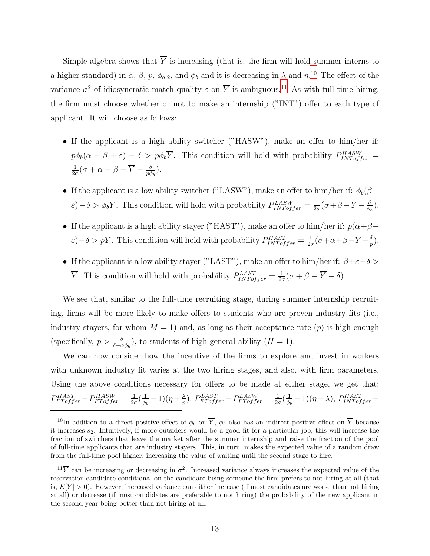Simple algebra shows that  $\overline{Y}$  is increasing (that is, the firm will hold summer interns to a higher standard) in  $\alpha$ ,  $\beta$ ,  $p$ ,  $\phi_{a,2}$ , and  $\phi_b$  and it is decreasing in  $\lambda$  and  $\eta$ .<sup>10</sup> The effect of the variance  $\sigma^2$  of idiosyncratic match quality  $\varepsilon$  on  $\overline{Y}$  is ambiguous.<sup>11</sup> As with full-time hiring, the firm must choose whether or not to make an internship ("INT") offer to each type of applicant. It will choose as follows:

- If the applicant is a high ability switcher ("HASW"), make an offer to him/her if:  $p\phi_b(\alpha+\beta+\varepsilon)-\delta > p\phi_b\overline{Y}$ . This condition will hold with probability  $P_{INToffer}^{HASW}$ 1  $\frac{1}{2\sigma}(\sigma+\alpha+\beta-\overline{Y}-\frac{\delta}{p\phi})$  $\frac{\delta}{p\phi_b}$ ).
- If the applicant is a low ability switcher ("LASW"), make an offer to him/her if:  $\phi_b(\beta +$  $\varepsilon$ ) –  $\delta > \phi_b \overline{Y}$ . This condition will hold with probability  $P_{INToffer}^{LASW} = \frac{1}{2c}$  $\frac{1}{2\sigma}(\sigma+\beta-\overline{Y}-\frac{\delta}{\phi_0})$  $\frac{\delta}{\phi_b}$ ).
- If the applicant is a high ability stayer ("HAST"), make an offer to him/her if:  $p(\alpha+\beta+\beta)$  $\varepsilon$ ) –  $\delta > p\overline{Y}$ . This condition will hold with probability  $P_{INToffer}^{HAST} = \frac{1}{2c}$  $\frac{1}{2\sigma}(\sigma+\alpha+\beta-\overline{Y}-\frac{\delta}{p})$  $\frac{\delta}{p}).$
- If the applicant is a low ability stayer ("LAST"), make an offer to him/her if:  $\beta + \varepsilon \delta$  $\overline{Y}$ . This condition will hold with probability  $P_{INToffer}^{LAST} = \frac{1}{2c}$  $\frac{1}{2\sigma}(\sigma+\beta-Y-\delta).$

We see that, similar to the full-time recruiting stage, during summer internship recruiting, firms will be more likely to make offers to students who are proven industry fits (i.e., industry stayers, for whom  $M = 1$ ) and, as long as their acceptance rate  $(p)$  is high enough (specifically,  $p > \frac{\delta}{\delta + \alpha \phi_b}$ ), to students of high general ability  $(H = 1)$ .

We can now consider how the incentive of the firms to explore and invest in workers with unknown industry fit varies at the two hiring stages, and also, with firm parameters. Using the above conditions necessary for offers to be made at either stage, we get that:  $P^{HAST}_{FToffer} - P^{HASW}_{FToffer} = \frac{1}{2\epsilon}$  $rac{1}{2\sigma}(\frac{1}{\phi_l}$  $\frac{1}{\phi_b} - 1$ )( $\eta + \frac{\lambda}{p}$  $\frac{\lambda}{p}),\, P_{FToffer}^{LAST} - P_{FToffer}^{LSW} = \frac{1}{2\alpha}$  $rac{1}{2\sigma}(\frac{1}{\phi_l}$  $(\frac{1}{\phi_b} - 1)(\eta + \lambda),$   $P_{INToffer}^{HAST} -$ 

<sup>&</sup>lt;sup>10</sup>In addition to a direct positive effect of  $\phi_b$  on  $\overline{Y}$ ,  $\phi_b$  also has an indirect positive effect on  $\overline{Y}$  because it increases  $s_2$ . Intuitively, if more outsiders would be a good fit for a particular job, this will increase the fraction of switchers that leave the market after the summer internship and raise the fraction of the pool of full-time applicants that are industry stayers. This, in turn, makes the expected value of a random draw from the full-time pool higher, increasing the value of waiting until the second stage to hire.

<sup>&</sup>lt;sup>11</sup> $\overline{Y}$  can be increasing or decreasing in  $\sigma^2$ . Increased variance always increases the expected value of the reservation candidate conditional on the candidate being someone the firm prefers to not hiring at all (that is,  $E[Y] > 0$ ). However, increased variance can either increase (if most candidates are worse than not hiring at all) or decrease (if most candidates are preferable to not hiring) the probability of the new applicant in the second year being better than not hiring at all.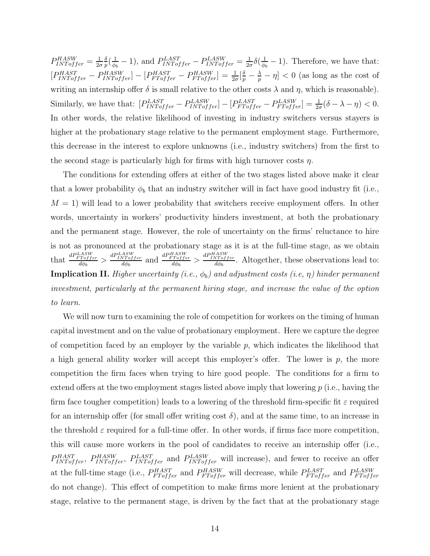$P_{INToffer}^{HASW} = \frac{1}{2c}$  $2\sigma$ δ  $\frac{\delta}{p}(\frac{1}{\phi_{l}}% )^{2n}(\frac{1}{\phi_{l}}% )^{2n}(\theta_{l}+\theta_{l}^{\prime})$  $\frac{1}{\phi_b} - 1$ , and  $P_{INToffer}^{LAST} - P_{INToffer}^{LASW} = \frac{1}{2\phi_b}$  $\frac{1}{2\sigma}\delta(\frac{1}{\phi_0})$  $\frac{1}{\phi_b} - 1$ ). Therefore, we have that:  $[P_{INToffer}^{HAST} - P_{INToffer}^{HASW}] - [P_{FToffer}^{HASW} - P_{FToffer}^{HASW}] = \frac{1}{2\sigma}[\frac{\delta}{p} - \frac{\lambda}{p} - \eta] < 0$  (as long as the cost of writing an internship offer  $\delta$  is small relative to the other costs  $\lambda$  and  $\eta$ , which is reasonable). Similarly, we have that:  $[P_{INToffer}^{LAST} - P_{INToffer}^{LAST}] - [P_{FToffer}^{LAST} - P_{FTofffer}^{LASY}] = \frac{1}{2\sigma}(\delta - \lambda - \eta) < 0.$ In other words, the relative likelihood of investing in industry switchers versus stayers is higher at the probationary stage relative to the permanent employment stage. Furthermore, this decrease in the interest to explore unknowns (i.e., industry switchers) from the first to the second stage is particularly high for firms with high turnover costs  $\eta$ .

The conditions for extending offers at either of the two stages listed above make it clear that a lower probability  $\phi_b$  that an industry switcher will in fact have good industry fit (i.e.,  $M = 1$ ) will lead to a lower probability that switchers receive employment offers. In other words, uncertainty in workers' productivity hinders investment, at both the probationary and the permanent stage. However, the role of uncertainty on the firms' reluctance to hire is not as pronounced at the probationary stage as it is at the full-time stage, as we obtain that  $\frac{dP_{FT\text{offer}}^{LASW}}{d\phi_b} > \frac{dP_{INT\text{offer}}^{LASW}}{d\phi_b}$  and  $\frac{dP_{FT\text{offer}}^{HASW}}{d\phi_b} > \frac{dP_{INT\text{offer}}^{HASW}}{d\phi_b}$ . Altogether, these observations lead to: **Implication II.** Higher uncertainty (i.e.,  $\phi_b$ ) and adjustment costs (i.e,  $\eta$ ) hinder permanent investment, particularly at the permanent hiring stage, and increase the value of the option to learn.

We will now turn to examining the role of competition for workers on the timing of human capital investment and on the value of probationary employment. Here we capture the degree of competition faced by an employer by the variable  $p$ , which indicates the likelihood that a high general ability worker will accept this employer's offer. The lower is  $p$ , the more competition the firm faces when trying to hire good people. The conditions for a firm to extend offers at the two employment stages listed above imply that lowering  $p$  (i.e., having the firm face tougher competition) leads to a lowering of the threshold firm-specific fit  $\varepsilon$  required for an internship offer (for small offer writing cost  $\delta$ ), and at the same time, to an increase in the threshold  $\varepsilon$  required for a full-time offer. In other words, if firms face more competition, this will cause more workers in the pool of candidates to receive an internship offer (i.e.,  $P_{INToffer}^{HAST}$ ,  $P_{INToffer}^{HASW}$ ,  $P_{INToffer}^{LAST}$  and  $P_{INToffer}^{LASW}$  will increase), and fewer to receive an offer at the full-time stage (i.e.,  $P_{FToffer}^{HAST}$  and  $P_{FToffer}^{HASW}$  will decrease, while  $P_{FToffer}^{LAST}$  and  $P_{FToffer}^{LASW}$ do not change). This effect of competition to make firms more lenient at the probationary stage, relative to the permanent stage, is driven by the fact that at the probationary stage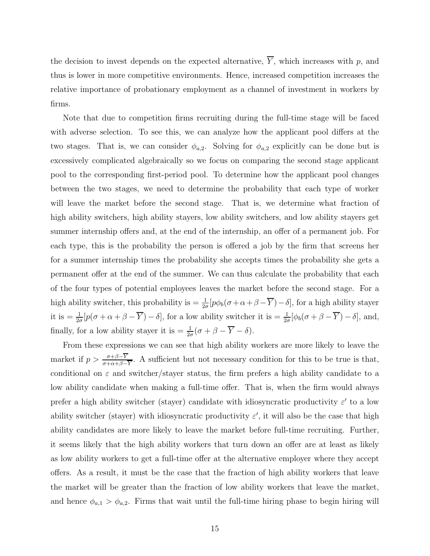the decision to invest depends on the expected alternative,  $\overline{Y}$ , which increases with p, and thus is lower in more competitive environments. Hence, increased competition increases the relative importance of probationary employment as a channel of investment in workers by firms.

Note that due to competition firms recruiting during the full-time stage will be faced with adverse selection. To see this, we can analyze how the applicant pool differs at the two stages. That is, we can consider  $\phi_{a,2}$ . Solving for  $\phi_{a,2}$  explicitly can be done but is excessively complicated algebraically so we focus on comparing the second stage applicant pool to the corresponding first-period pool. To determine how the applicant pool changes between the two stages, we need to determine the probability that each type of worker will leave the market before the second stage. That is, we determine what fraction of high ability switchers, high ability stayers, low ability switchers, and low ability stayers get summer internship offers and, at the end of the internship, an offer of a permanent job. For each type, this is the probability the person is offered a job by the firm that screens her for a summer internship times the probability she accepts times the probability she gets a permanent offer at the end of the summer. We can thus calculate the probability that each of the four types of potential employees leaves the market before the second stage. For a high ability switcher, this probability is  $=\frac{1}{2\sigma} [p\phi_b(\sigma+\alpha+\beta-\overline{Y})-\delta]$ , for a high ability stayer it is  $=\frac{1}{2\sigma} [p(\sigma+\alpha+\beta-\overline{Y})-\delta]$ , for a low ability switcher it is  $=\frac{1}{2\sigma} [\phi_b(\sigma+\beta-\overline{Y})-\delta]$ , and, finally, for a low ability stayer it is  $= \frac{1}{2\sigma}(\sigma + \beta - \overline{Y} - \delta)$ .

From these expressions we can see that high ability workers are more likely to leave the market if  $p > \frac{\sigma + \beta - Y}{\sigma + \alpha + \beta - \overline{Y}}$ . A sufficient but not necessary condition for this to be true is that, conditional on  $\varepsilon$  and switcher/stayer status, the firm prefers a high ability candidate to a low ability candidate when making a full-time offer. That is, when the firm would always prefer a high ability switcher (stayer) candidate with idiosyncratic productivity  $\varepsilon'$  to a low ability switcher (stayer) with idiosyncratic productivity  $\varepsilon'$ , it will also be the case that high ability candidates are more likely to leave the market before full-time recruiting. Further, it seems likely that the high ability workers that turn down an offer are at least as likely as low ability workers to get a full-time offer at the alternative employer where they accept offers. As a result, it must be the case that the fraction of high ability workers that leave the market will be greater than the fraction of low ability workers that leave the market, and hence  $\phi_{a,1} > \phi_{a,2}$ . Firms that wait until the full-time hiring phase to begin hiring will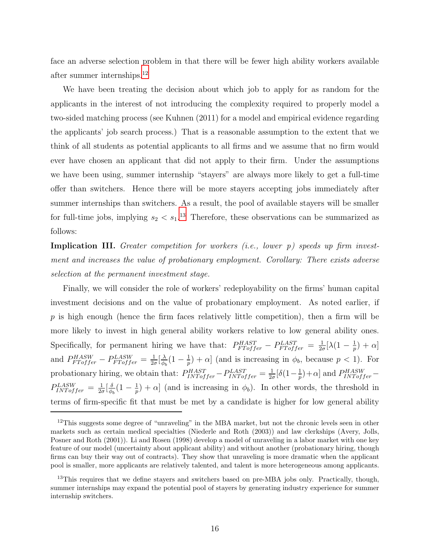face an adverse selection problem in that there will be fewer high ability workers available after summer internships.<sup>12</sup>

We have been treating the decision about which job to apply for as random for the applicants in the interest of not introducing the complexity required to properly model a two-sided matching process (see Kuhnen (2011) for a model and empirical evidence regarding the applicants' job search process.) That is a reasonable assumption to the extent that we think of all students as potential applicants to all firms and we assume that no firm would ever have chosen an applicant that did not apply to their firm. Under the assumptions we have been using, summer internship "stayers" are always more likely to get a full-time offer than switchers. Hence there will be more stayers accepting jobs immediately after summer internships than switchers. As a result, the pool of available stayers will be smaller for full-time jobs, implying  $s_2 < s_1$ .<sup>13</sup> Therefore, these observations can be summarized as follows:

Implication III. Greater competition for workers (i.e., lower p) speeds up firm investment and increases the value of probationary employment. Corollary: There exists adverse selection at the permanent investment stage.

Finally, we will consider the role of workers' redeployability on the firms' human capital investment decisions and on the value of probationary employment. As noted earlier, if  $p$  is high enough (hence the firm faces relatively little competition), then a firm will be more likely to invest in high general ability workers relative to low general ability ones. Specifically, for permanent hiring we have that:  $P_{FToffer}^{HAST} - P_{FToffer}^{LAST} = \frac{1}{2c}$  $\frac{1}{2\sigma}[\lambda(1-\frac{1}{p}% )\theta (1-\frac{1}{p})\theta (1-\frac{1}{p})]^{2}$  $(\frac{1}{p}) + \alpha$ and  $P_{FToffer}^{HASW} - P_{FToffer}^{LASW} = \frac{1}{2c}$  $\frac{1}{2\sigma}[\frac{\lambda}{\phi_l}$  $\frac{\lambda}{\phi_b} (1 - \frac{1}{p}$  $\frac{1}{p}$  +  $\alpha$ ] (and is increasing in  $\phi_b$ , because  $p < 1$ ). For probationary hiring, we obtain that:  $P_{INToffer}^{HAST} - P_{INToffer}^{LAST} = \frac{1}{2c}$  $\frac{1}{2\sigma}[\delta(1-\frac{1}{p}% )\log(1-\frac{1}{p})-\delta(1-\frac{1}{p})]$  $\frac{1}{p}$  +  $\alpha$ ] and  $P^{HASW}_{INToffer}$  –  $P_{INToffer}^{LASW} = \frac{1}{2c}$  $rac{1}{2\sigma}$  $\left[\frac{\delta}{\phi}\right]$  $\frac{\delta}{\phi_b} (1 - \frac{1}{p}$  $\frac{1}{p}$  +  $\alpha$  (and is increasing in  $\phi_b$ ). In other words, the threshold in terms of firm-specific fit that must be met by a candidate is higher for low general ability

<sup>&</sup>lt;sup>12</sup>This suggests some degree of "unraveling" in the MBA market, but not the chronic levels seen in other markets such as certain medical specialties (Niederle and Roth (2003)) and law clerkships (Avery, Jolls, Posner and Roth (2001)). Li and Rosen (1998) develop a model of unraveling in a labor market with one key feature of our model (uncertainty about applicant ability) and without another (probationary hiring, though firms can buy their way out of contracts). They show that unraveling is more dramatic when the applicant pool is smaller, more applicants are relatively talented, and talent is more heterogeneous among applicants.

<sup>&</sup>lt;sup>13</sup>This requires that we define stayers and switchers based on pre-MBA jobs only. Practically, though, summer internships may expand the potential pool of stayers by generating industry experience for summer internship switchers.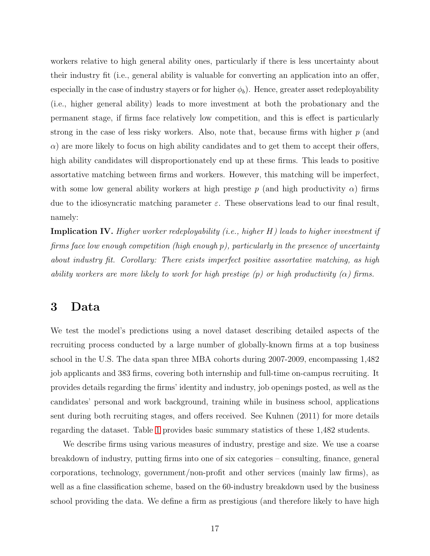workers relative to high general ability ones, particularly if there is less uncertainty about their industry fit (i.e., general ability is valuable for converting an application into an offer, especially in the case of industry stayers or for higher  $\phi_b$ ). Hence, greater asset redeployability (i.e., higher general ability) leads to more investment at both the probationary and the permanent stage, if firms face relatively low competition, and this is effect is particularly strong in the case of less risky workers. Also, note that, because firms with higher  $p$  (and  $\alpha$ ) are more likely to focus on high ability candidates and to get them to accept their offers, high ability candidates will disproportionately end up at these firms. This leads to positive assortative matching between firms and workers. However, this matching will be imperfect, with some low general ability workers at high prestige p (and high productivity  $\alpha$ ) firms due to the idiosyncratic matching parameter  $\varepsilon$ . These observations lead to our final result, namely:

**Implication IV.** Higher worker redeployability (i.e., higher H) leads to higher investment if firms face low enough competition (high enough p), particularly in the presence of uncertainty about industry fit. Corollary: There exists imperfect positive assortative matching, as high ability workers are more likely to work for high prestige  $(p)$  or high productivity  $(\alpha)$  firms.

## <span id="page-17-0"></span>3 Data

We test the model's predictions using a novel dataset describing detailed aspects of the recruiting process conducted by a large number of globally-known firms at a top business school in the U.S. The data span three MBA cohorts during 2007-2009, encompassing 1,482 job applicants and 383 firms, covering both internship and full-time on-campus recruiting. It provides details regarding the firms' identity and industry, job openings posted, as well as the candidates' personal and work background, training while in business school, applications sent during both recruiting stages, and offers received. See Kuhnen (2011) for more details regarding the dataset. Table [1](#page-33-0) provides basic summary statistics of these 1,482 students.

We describe firms using various measures of industry, prestige and size. We use a coarse breakdown of industry, putting firms into one of six categories – consulting, finance, general corporations, technology, government/non-profit and other services (mainly law firms), as well as a fine classification scheme, based on the 60-industry breakdown used by the business school providing the data. We define a firm as prestigious (and therefore likely to have high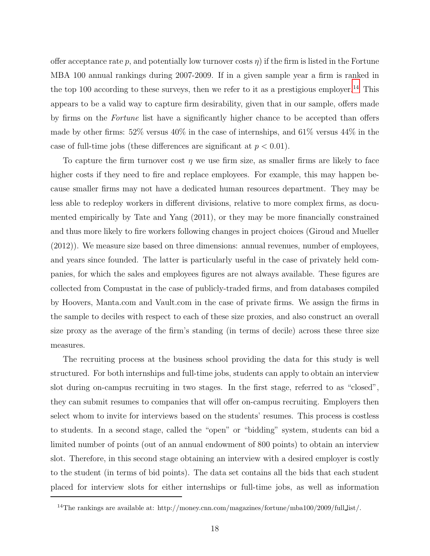offer acceptance rate p, and potentially low turnover costs  $\eta$ ) if the firm is listed in the Fortune MBA 100 annual rankings during 2007-2009. If in a given sample year a firm is ranked in the top 100 according to these surveys, then we refer to it as a prestigious employer.<sup>14</sup> This appears to be a valid way to capture firm desirability, given that in our sample, offers made by firms on the Fortune list have a significantly higher chance to be accepted than offers made by other firms: 52% versus 40% in the case of internships, and 61% versus 44% in the case of full-time jobs (these differences are significant at  $p < 0.01$ ).

To capture the firm turnover cost  $\eta$  we use firm size, as smaller firms are likely to face higher costs if they need to fire and replace employees. For example, this may happen because smaller firms may not have a dedicated human resources department. They may be less able to redeploy workers in different divisions, relative to more complex firms, as documented empirically by Tate and Yang (2011), or they may be more financially constrained and thus more likely to fire workers following changes in project choices (Giroud and Mueller (2012)). We measure size based on three dimensions: annual revenues, number of employees, and years since founded. The latter is particularly useful in the case of privately held companies, for which the sales and employees figures are not always available. These figures are collected from Compustat in the case of publicly-traded firms, and from databases compiled by Hoovers, Manta.com and Vault.com in the case of private firms. We assign the firms in the sample to deciles with respect to each of these size proxies, and also construct an overall size proxy as the average of the firm's standing (in terms of decile) across these three size measures.

The recruiting process at the business school providing the data for this study is well structured. For both internships and full-time jobs, students can apply to obtain an interview slot during on-campus recruiting in two stages. In the first stage, referred to as "closed", they can submit resumes to companies that will offer on-campus recruiting. Employers then select whom to invite for interviews based on the students' resumes. This process is costless to students. In a second stage, called the "open" or "bidding" system, students can bid a limited number of points (out of an annual endowment of 800 points) to obtain an interview slot. Therefore, in this second stage obtaining an interview with a desired employer is costly to the student (in terms of bid points). The data set contains all the bids that each student placed for interview slots for either internships or full-time jobs, as well as information

<sup>&</sup>lt;sup>14</sup>The rankings are available at: http://money.cnn.com/magazines/fortune/mba100/2009/full list/.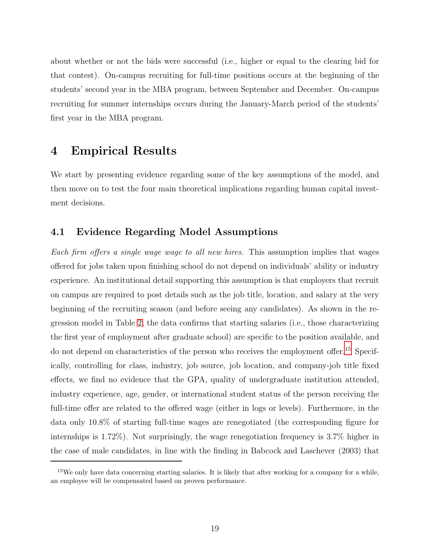about whether or not the bids were successful (i.e., higher or equal to the clearing bid for that contest). On-campus recruiting for full-time positions occurs at the beginning of the students' second year in the MBA program, between September and December. On-campus recruiting for summer internships occurs during the January-March period of the students' first year in the MBA program.

## <span id="page-19-0"></span>4 Empirical Results

We start by presenting evidence regarding some of the key assumptions of the model, and then move on to test the four main theoretical implications regarding human capital investment decisions.

### 4.1 Evidence Regarding Model Assumptions

Each firm offers a single wage wage to all new hires. This assumption implies that wages offered for jobs taken upon finishing school do not depend on individuals' ability or industry experience. An institutional detail supporting this assumption is that employers that recruit on campus are required to post details such as the job title, location, and salary at the very beginning of the recruiting season (and before seeing any candidates). As shown in the regression model in Table [2,](#page-33-1) the data confirms that starting salaries (i.e., those characterizing the first year of employment after graduate school) are specific to the position available, and do not depend on characteristics of the person who receives the employment offer.<sup>15</sup> Specifically, controlling for class, industry, job source, job location, and company-job title fixed effects, we find no evidence that the GPA, quality of undergraduate institution attended, industry experience, age, gender, or international student status of the person receiving the full-time offer are related to the offered wage (either in logs or levels). Furthermore, in the data only 10.8% of starting full-time wages are renegotiated (the corresponding figure for internships is 1.72%). Not surprisingly, the wage renegotiation frequency is 3.7% higher in the case of male candidates, in line with the finding in Babcock and Laschever (2003) that

 $15$ We only have data concerning starting salaries. It is likely that after working for a company for a while, an employee will be compensated based on proven performance.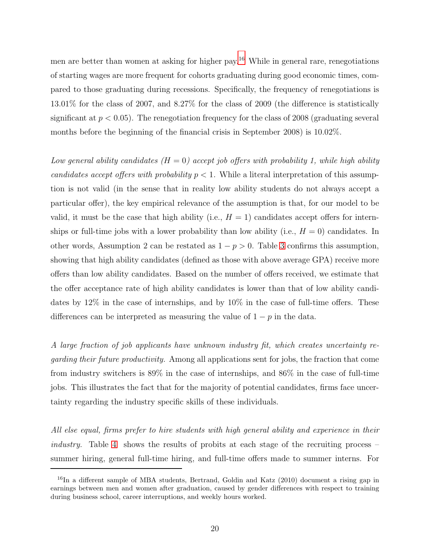men are better than women at asking for higher pay.<sup>16</sup> While in general rare, renegotiations of starting wages are more frequent for cohorts graduating during good economic times, compared to those graduating during recessions. Specifically, the frequency of renegotiations is 13.01% for the class of 2007, and 8.27% for the class of 2009 (the difference is statistically significant at  $p < 0.05$ ). The renegotiation frequency for the class of 2008 (graduating several months before the beginning of the financial crisis in September 2008) is 10.02%.

Low general ability candidates  $(H = 0)$  accept job offers with probability 1, while high ability candidates accept offers with probability  $p < 1$ . While a literal interpretation of this assumption is not valid (in the sense that in reality low ability students do not always accept a particular offer), the key empirical relevance of the assumption is that, for our model to be valid, it must be the case that high ability (i.e.,  $H = 1$ ) candidates accept offers for internships or full-time jobs with a lower probability than low ability (i.e.,  $H = 0$ ) candidates. In other words, Assumption 2 can be restated as  $1 - p > 0$ . Table [3](#page-34-0) confirms this assumption, showing that high ability candidates (defined as those with above average GPA) receive more offers than low ability candidates. Based on the number of offers received, we estimate that the offer acceptance rate of high ability candidates is lower than that of low ability candidates by 12% in the case of internships, and by 10% in the case of full-time offers. These differences can be interpreted as measuring the value of  $1 - p$  in the data.

A large fraction of job applicants have unknown industry fit, which creates uncertainty regarding their future productivity. Among all applications sent for jobs, the fraction that come from industry switchers is 89% in the case of internships, and 86% in the case of full-time jobs. This illustrates the fact that for the majority of potential candidates, firms face uncertainty regarding the industry specific skills of these individuals.

All else equal, firms prefer to hire students with high general ability and experience in their *industry.* Table [4](#page-34-1) shows the results of probits at each stage of the recruiting process  $$ summer hiring, general full-time hiring, and full-time offers made to summer interns. For

 $^{16}$ In a different sample of MBA students, Bertrand, Goldin and Katz (2010) document a rising gap in earnings between men and women after graduation, caused by gender differences with respect to training during business school, career interruptions, and weekly hours worked.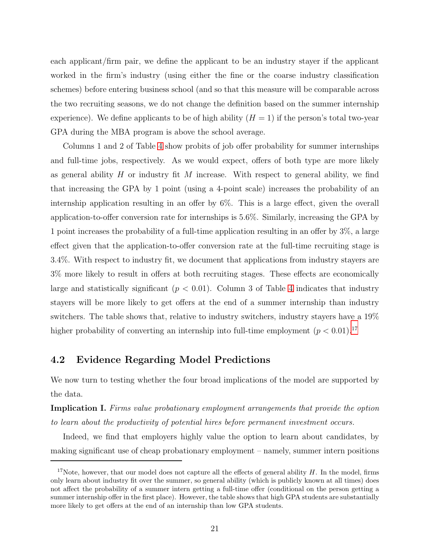each applicant/firm pair, we define the applicant to be an industry stayer if the applicant worked in the firm's industry (using either the fine or the coarse industry classification schemes) before entering business school (and so that this measure will be comparable across the two recruiting seasons, we do not change the definition based on the summer internship experience). We define applicants to be of high ability  $(H = 1)$  if the person's total two-year GPA during the MBA program is above the school average.

Columns 1 and 2 of Table [4](#page-34-1) show probits of job offer probability for summer internships and full-time jobs, respectively. As we would expect, offers of both type are more likely as general ability  $H$  or industry fit  $M$  increase. With respect to general ability, we find that increasing the GPA by 1 point (using a 4-point scale) increases the probability of an internship application resulting in an offer by 6%. This is a large effect, given the overall application-to-offer conversion rate for internships is 5.6%. Similarly, increasing the GPA by 1 point increases the probability of a full-time application resulting in an offer by 3%, a large effect given that the application-to-offer conversion rate at the full-time recruiting stage is 3.4%. With respect to industry fit, we document that applications from industry stayers are 3% more likely to result in offers at both recruiting stages. These effects are economically large and statistically significant  $(p < 0.01)$ . Column 3 of Table [4](#page-34-1) indicates that industry stayers will be more likely to get offers at the end of a summer internship than industry switchers. The table shows that, relative to industry switchers, industry stayers have a 19% higher probability of converting an internship into full-time employment  $(p < 0.01)$ .<sup>17</sup>

### 4.2 Evidence Regarding Model Predictions

We now turn to testing whether the four broad implications of the model are supported by the data.

Implication I. Firms value probationary employment arrangements that provide the option to learn about the productivity of potential hires before permanent investment occurs.

Indeed, we find that employers highly value the option to learn about candidates, by making significant use of cheap probationary employment – namely, summer intern positions

<sup>&</sup>lt;sup>17</sup>Note, however, that our model does not capture all the effects of general ability  $H$ . In the model, firms only learn about industry fit over the summer, so general ability (which is publicly known at all times) does not affect the probability of a summer intern getting a full-time offer (conditional on the person getting a summer internship offer in the first place). However, the table shows that high GPA students are substantially more likely to get offers at the end of an internship than low GPA students.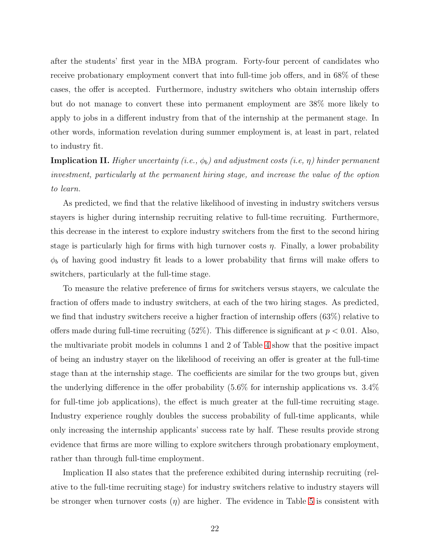after the students' first year in the MBA program. Forty-four percent of candidates who receive probationary employment convert that into full-time job offers, and in 68% of these cases, the offer is accepted. Furthermore, industry switchers who obtain internship offers but do not manage to convert these into permanent employment are 38% more likely to apply to jobs in a different industry from that of the internship at the permanent stage. In other words, information revelation during summer employment is, at least in part, related to industry fit.

**Implication II.** Higher uncertainty (i.e.,  $\phi_b$ ) and adjustment costs (i.e,  $\eta$ ) hinder permanent investment, particularly at the permanent hiring stage, and increase the value of the option to learn.

As predicted, we find that the relative likelihood of investing in industry switchers versus stayers is higher during internship recruiting relative to full-time recruiting. Furthermore, this decrease in the interest to explore industry switchers from the first to the second hiring stage is particularly high for firms with high turnover costs  $\eta$ . Finally, a lower probability  $\phi_b$  of having good industry fit leads to a lower probability that firms will make offers to switchers, particularly at the full-time stage.

To measure the relative preference of firms for switchers versus stayers, we calculate the fraction of offers made to industry switchers, at each of the two hiring stages. As predicted, we find that industry switchers receive a higher fraction of internship offers (63%) relative to offers made during full-time recruiting  $(52\%)$ . This difference is significant at  $p < 0.01$ . Also, the multivariate probit models in columns 1 and 2 of Table [4](#page-34-1) show that the positive impact of being an industry stayer on the likelihood of receiving an offer is greater at the full-time stage than at the internship stage. The coefficients are similar for the two groups but, given the underlying difference in the offer probability (5.6% for internship applications vs. 3.4% for full-time job applications), the effect is much greater at the full-time recruiting stage. Industry experience roughly doubles the success probability of full-time applicants, while only increasing the internship applicants' success rate by half. These results provide strong evidence that firms are more willing to explore switchers through probationary employment, rather than through full-time employment.

Implication II also states that the preference exhibited during internship recruiting (relative to the full-time recruiting stage) for industry switchers relative to industry stayers will be stronger when turnover costs  $(\eta)$  are higher. The evidence in Table [5](#page-35-0) is consistent with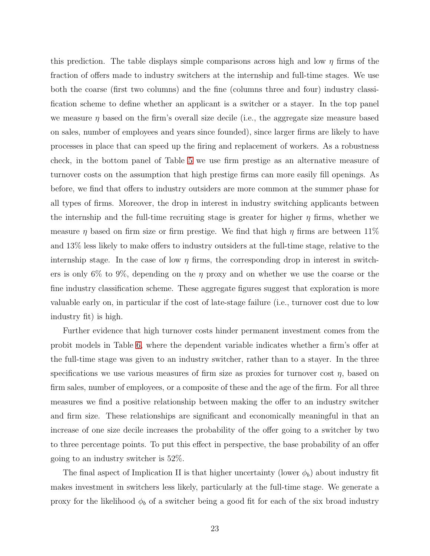this prediction. The table displays simple comparisons across high and low  $\eta$  firms of the fraction of offers made to industry switchers at the internship and full-time stages. We use both the coarse (first two columns) and the fine (columns three and four) industry classification scheme to define whether an applicant is a switcher or a stayer. In the top panel we measure  $\eta$  based on the firm's overall size decile (i.e., the aggregate size measure based on sales, number of employees and years since founded), since larger firms are likely to have processes in place that can speed up the firing and replacement of workers. As a robustness check, in the bottom panel of Table [5](#page-35-0) we use firm prestige as an alternative measure of turnover costs on the assumption that high prestige firms can more easily fill openings. As before, we find that offers to industry outsiders are more common at the summer phase for all types of firms. Moreover, the drop in interest in industry switching applicants between the internship and the full-time recruiting stage is greater for higher  $\eta$  firms, whether we measure  $\eta$  based on firm size or firm prestige. We find that high  $\eta$  firms are between 11% and 13% less likely to make offers to industry outsiders at the full-time stage, relative to the internship stage. In the case of low  $\eta$  firms, the corresponding drop in interest in switchers is only 6% to 9%, depending on the  $\eta$  proxy and on whether we use the coarse or the fine industry classification scheme. These aggregate figures suggest that exploration is more valuable early on, in particular if the cost of late-stage failure (i.e., turnover cost due to low industry fit) is high.

Further evidence that high turnover costs hinder permanent investment comes from the probit models in Table [6,](#page-35-1) where the dependent variable indicates whether a firm's offer at the full-time stage was given to an industry switcher, rather than to a stayer. In the three specifications we use various measures of firm size as proxies for turnover cost  $\eta$ , based on firm sales, number of employees, or a composite of these and the age of the firm. For all three measures we find a positive relationship between making the offer to an industry switcher and firm size. These relationships are significant and economically meaningful in that an increase of one size decile increases the probability of the offer going to a switcher by two to three percentage points. To put this effect in perspective, the base probability of an offer going to an industry switcher is 52%.

The final aspect of Implication II is that higher uncertainty (lower  $\phi_b$ ) about industry fit makes investment in switchers less likely, particularly at the full-time stage. We generate a proxy for the likelihood  $\phi_b$  of a switcher being a good fit for each of the six broad industry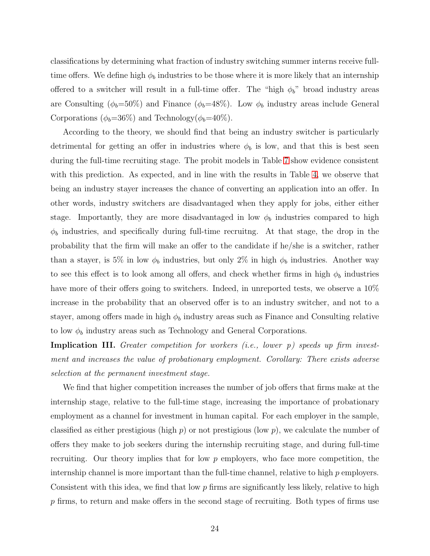classifications by determining what fraction of industry switching summer interns receive fulltime offers. We define high  $\phi_b$  industries to be those where it is more likely that an internship offered to a switcher will result in a full-time offer. The "high  $\phi_b$ " broad industry areas are Consulting ( $\phi_b = 50\%$ ) and Finance ( $\phi_b = 48\%$ ). Low  $\phi_b$  industry areas include General Corporations ( $\phi_b = 36\%$ ) and Technology( $\phi_b = 40\%$ ).

According to the theory, we should find that being an industry switcher is particularly detrimental for getting an offer in industries where  $\phi_b$  is low, and that this is best seen during the full-time recruiting stage. The probit models in Table [7](#page-36-0) show evidence consistent with this prediction. As expected, and in line with the results in Table [4,](#page-34-1) we observe that being an industry stayer increases the chance of converting an application into an offer. In other words, industry switchers are disadvantaged when they apply for jobs, either either stage. Importantly, they are more disadvantaged in low  $\phi_b$  industries compared to high  $\phi_b$  industries, and specifically during full-time recruiting. At that stage, the drop in the probability that the firm will make an offer to the candidate if he/she is a switcher, rather than a stayer, is 5% in low  $\phi_b$  industries, but only 2% in high  $\phi_b$  industries. Another way to see this effect is to look among all offers, and check whether firms in high  $\phi_b$  industries have more of their offers going to switchers. Indeed, in unreported tests, we observe a  $10\%$ increase in the probability that an observed offer is to an industry switcher, and not to a stayer, among offers made in high  $\phi_b$  industry areas such as Finance and Consulting relative to low  $\phi_b$  industry areas such as Technology and General Corporations.

Implication III. Greater competition for workers (i.e., lower p) speeds up firm investment and increases the value of probationary employment. Corollary: There exists adverse selection at the permanent investment stage.

We find that higher competition increases the number of job offers that firms make at the internship stage, relative to the full-time stage, increasing the importance of probationary employment as a channel for investment in human capital. For each employer in the sample, classified as either prestigious (high  $p$ ) or not prestigious (low  $p$ ), we calculate the number of offers they make to job seekers during the internship recruiting stage, and during full-time recruiting. Our theory implies that for low  $p$  employers, who face more competition, the internship channel is more important than the full-time channel, relative to high  $p$  employers. Consistent with this idea, we find that low  $p$  firms are significantly less likely, relative to high  $p$  firms, to return and make offers in the second stage of recruiting. Both types of firms use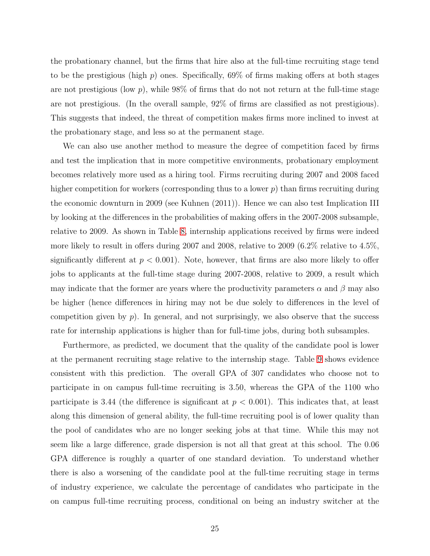the probationary channel, but the firms that hire also at the full-time recruiting stage tend to be the prestigious (high p) ones. Specifically,  $69\%$  of firms making offers at both stages are not prestigious (low  $p$ ), while 98% of firms that do not not return at the full-time stage are not prestigious. (In the overall sample, 92% of firms are classified as not prestigious). This suggests that indeed, the threat of competition makes firms more inclined to invest at the probationary stage, and less so at the permanent stage.

We can also use another method to measure the degree of competition faced by firms and test the implication that in more competitive environments, probationary employment becomes relatively more used as a hiring tool. Firms recruiting during 2007 and 2008 faced higher competition for workers (corresponding thus to a lower  $p$ ) than firms recruiting during the economic downturn in 2009 (see Kuhnen (2011)). Hence we can also test Implication III by looking at the differences in the probabilities of making offers in the 2007-2008 subsample, relative to 2009. As shown in Table [8,](#page-36-1) internship applications received by firms were indeed more likely to result in offers during 2007 and 2008, relative to 2009 (6.2% relative to 4.5%, significantly different at  $p < 0.001$ ). Note, however, that firms are also more likely to offer jobs to applicants at the full-time stage during 2007-2008, relative to 2009, a result which may indicate that the former are years where the productivity parameters  $\alpha$  and  $\beta$  may also be higher (hence differences in hiring may not be due solely to differences in the level of competition given by  $p$ ). In general, and not surprisingly, we also observe that the success rate for internship applications is higher than for full-time jobs, during both subsamples.

Furthermore, as predicted, we document that the quality of the candidate pool is lower at the permanent recruiting stage relative to the internship stage. Table [9](#page-37-0) shows evidence consistent with this prediction. The overall GPA of 307 candidates who choose not to participate in on campus full-time recruiting is 3.50, whereas the GPA of the 1100 who participate is 3.44 (the difference is significant at  $p < 0.001$ ). This indicates that, at least along this dimension of general ability, the full-time recruiting pool is of lower quality than the pool of candidates who are no longer seeking jobs at that time. While this may not seem like a large difference, grade dispersion is not all that great at this school. The 0.06 GPA difference is roughly a quarter of one standard deviation. To understand whether there is also a worsening of the candidate pool at the full-time recruiting stage in terms of industry experience, we calculate the percentage of candidates who participate in the on campus full-time recruiting process, conditional on being an industry switcher at the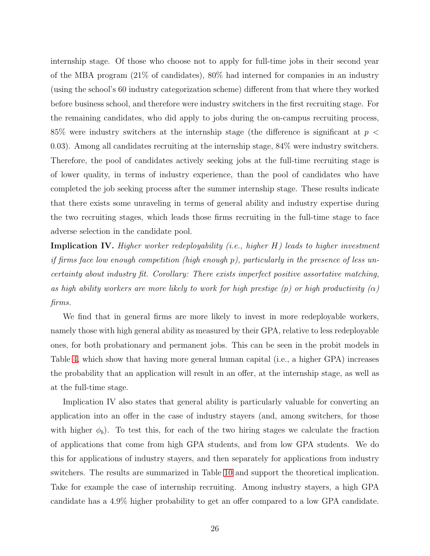internship stage. Of those who choose not to apply for full-time jobs in their second year of the MBA program (21% of candidates), 80% had interned for companies in an industry (using the school's 60 industry categorization scheme) different from that where they worked before business school, and therefore were industry switchers in the first recruiting stage. For the remaining candidates, who did apply to jobs during the on-campus recruiting process, 85% were industry switchers at the internship stage (the difference is significant at  $p <$ 0.03). Among all candidates recruiting at the internship stage, 84% were industry switchers. Therefore, the pool of candidates actively seeking jobs at the full-time recruiting stage is of lower quality, in terms of industry experience, than the pool of candidates who have completed the job seeking process after the summer internship stage. These results indicate that there exists some unraveling in terms of general ability and industry expertise during the two recruiting stages, which leads those firms recruiting in the full-time stage to face adverse selection in the candidate pool.

Implication IV. Higher worker redeployability (i.e., higher H) leads to higher investment if firms face low enough competition (high enough p), particularly in the presence of less uncertainty about industry fit. Corollary: There exists imperfect positive assortative matching, as high ability workers are more likely to work for high prestige  $(p)$  or high productivity  $(\alpha)$ firms.

We find that in general firms are more likely to invest in more redeployable workers, namely those with high general ability as measured by their GPA, relative to less redeployable ones, for both probationary and permanent jobs. This can be seen in the probit models in Table [4,](#page-34-1) which show that having more general human capital (i.e., a higher GPA) increases the probability that an application will result in an offer, at the internship stage, as well as at the full-time stage.

Implication IV also states that general ability is particularly valuable for converting an application into an offer in the case of industry stayers (and, among switchers, for those with higher  $\phi_b$ ). To test this, for each of the two hiring stages we calculate the fraction of applications that come from high GPA students, and from low GPA students. We do this for applications of industry stayers, and then separately for applications from industry switchers. The results are summarized in Table [10](#page-37-1) and support the theoretical implication. Take for example the case of internship recruiting. Among industry stayers, a high GPA candidate has a 4.9% higher probability to get an offer compared to a low GPA candidate.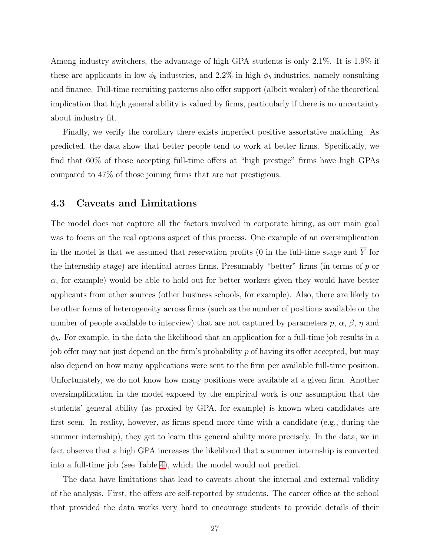Among industry switchers, the advantage of high GPA students is only 2.1%. It is 1.9% if these are applicants in low  $\phi_b$  industries, and 2.2% in high  $\phi_b$  industries, namely consulting and finance. Full-time recruiting patterns also offer support (albeit weaker) of the theoretical implication that high general ability is valued by firms, particularly if there is no uncertainty about industry fit.

Finally, we verify the corollary there exists imperfect positive assortative matching. As predicted, the data show that better people tend to work at better firms. Specifically, we find that 60% of those accepting full-time offers at "high prestige" firms have high GPAs compared to 47% of those joining firms that are not prestigious.

#### 4.3 Caveats and Limitations

The model does not capture all the factors involved in corporate hiring, as our main goal was to focus on the real options aspect of this process. One example of an oversimplication in the model is that we assumed that reservation profits (0 in the full-time stage and  $\overline{Y}$  for the internship stage) are identical across firms. Presumably "better" firms (in terms of  $p$  or  $\alpha$ , for example) would be able to hold out for better workers given they would have better applicants from other sources (other business schools, for example). Also, there are likely to be other forms of heterogeneity across firms (such as the number of positions available or the number of people available to interview) that are not captured by parameters  $p, \alpha, \beta, \eta$  and  $\phi_b$ . For example, in the data the likelihood that an application for a full-time job results in a job offer may not just depend on the firm's probability p of having its offer accepted, but may also depend on how many applications were sent to the firm per available full-time position. Unfortunately, we do not know how many positions were available at a given firm. Another oversimplification in the model exposed by the empirical work is our assumption that the students' general ability (as proxied by GPA, for example) is known when candidates are first seen. In reality, however, as firms spend more time with a candidate (e.g., during the summer internship), they get to learn this general ability more precisely. In the data, we in fact observe that a high GPA increases the likelihood that a summer internship is converted into a full-time job (see Table [4\)](#page-34-1), which the model would not predict.

The data have limitations that lead to caveats about the internal and external validity of the analysis. First, the offers are self-reported by students. The career office at the school that provided the data works very hard to encourage students to provide details of their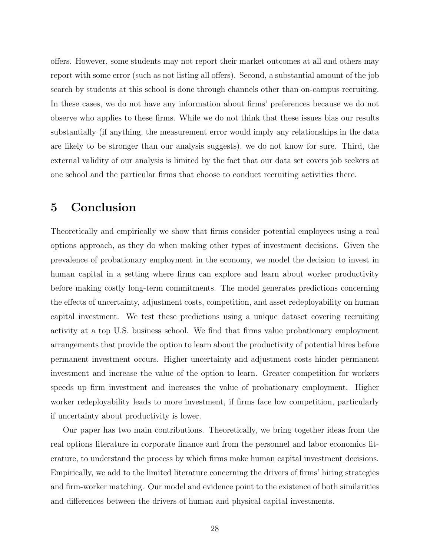offers. However, some students may not report their market outcomes at all and others may report with some error (such as not listing all offers). Second, a substantial amount of the job search by students at this school is done through channels other than on-campus recruiting. In these cases, we do not have any information about firms' preferences because we do not observe who applies to these firms. While we do not think that these issues bias our results substantially (if anything, the measurement error would imply any relationships in the data are likely to be stronger than our analysis suggests), we do not know for sure. Third, the external validity of our analysis is limited by the fact that our data set covers job seekers at one school and the particular firms that choose to conduct recruiting activities there.

## <span id="page-28-0"></span>5 Conclusion

Theoretically and empirically we show that firms consider potential employees using a real options approach, as they do when making other types of investment decisions. Given the prevalence of probationary employment in the economy, we model the decision to invest in human capital in a setting where firms can explore and learn about worker productivity before making costly long-term commitments. The model generates predictions concerning the effects of uncertainty, adjustment costs, competition, and asset redeployability on human capital investment. We test these predictions using a unique dataset covering recruiting activity at a top U.S. business school. We find that firms value probationary employment arrangements that provide the option to learn about the productivity of potential hires before permanent investment occurs. Higher uncertainty and adjustment costs hinder permanent investment and increase the value of the option to learn. Greater competition for workers speeds up firm investment and increases the value of probationary employment. Higher worker redeployability leads to more investment, if firms face low competition, particularly if uncertainty about productivity is lower.

Our paper has two main contributions. Theoretically, we bring together ideas from the real options literature in corporate finance and from the personnel and labor economics literature, to understand the process by which firms make human capital investment decisions. Empirically, we add to the limited literature concerning the drivers of firms' hiring strategies and firm-worker matching. Our model and evidence point to the existence of both similarities and differences between the drivers of human and physical capital investments.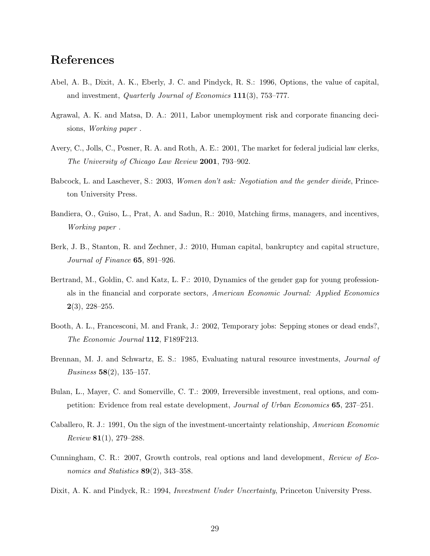## References

- Abel, A. B., Dixit, A. K., Eberly, J. C. and Pindyck, R. S.: 1996, Options, the value of capital, and investment, Quarterly Journal of Economics 111(3), 753–777.
- Agrawal, A. K. and Matsa, D. A.: 2011, Labor unemployment risk and corporate financing decisions, Working paper .
- Avery, C., Jolls, C., Posner, R. A. and Roth, A. E.: 2001, The market for federal judicial law clerks, The University of Chicago Law Review 2001, 793–902.
- Babcock, L. and Laschever, S.: 2003, Women don't ask: Negotiation and the gender divide, Princeton University Press.
- Bandiera, O., Guiso, L., Prat, A. and Sadun, R.: 2010, Matching firms, managers, and incentives, Working paper .
- Berk, J. B., Stanton, R. and Zechner, J.: 2010, Human capital, bankruptcy and capital structure, Journal of Finance **65**, 891–926.
- Bertrand, M., Goldin, C. and Katz, L. F.: 2010, Dynamics of the gender gap for young professionals in the financial and corporate sectors, American Economic Journal: Applied Economics  $2(3), 228 - 255.$
- Booth, A. L., Francesconi, M. and Frank, J.: 2002, Temporary jobs: Sepping stones or dead ends?, The Economic Journal 112, F189F213.
- Brennan, M. J. and Schwartz, E. S.: 1985, Evaluating natural resource investments, *Journal of Business* 58(2), 135–157.
- Bulan, L., Mayer, C. and Somerville, C. T.: 2009, Irreversible investment, real options, and competition: Evidence from real estate development, Journal of Urban Economics 65, 237–251.
- Caballero, R. J.: 1991, On the sign of the investment-uncertainty relationship, American Economic  $Review 81(1), 279-288.$
- Cunningham, C. R.: 2007, Growth controls, real options and land development, Review of Economics and Statistics  $89(2)$ , 343-358.
- Dixit, A. K. and Pindyck, R.: 1994, *Investment Under Uncertainty*, Princeton University Press.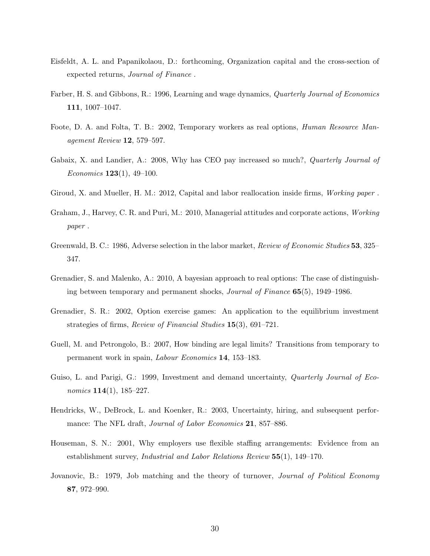- Eisfeldt, A. L. and Papanikolaou, D.: forthcoming, Organization capital and the cross-section of expected returns, Journal of Finance .
- Farber, H. S. and Gibbons, R.: 1996, Learning and wage dynamics, Quarterly Journal of Economics 111, 1007–1047.
- Foote, D. A. and Folta, T. B.: 2002, Temporary workers as real options, *Human Resource Man*agement Review 12, 579–597.
- Gabaix, X. and Landier, A.: 2008, Why has CEO pay increased so much?, *Quarterly Journal of Economics* **123**(1), 49–100.
- Giroud, X. and Mueller, H. M.: 2012, Capital and labor reallocation inside firms, Working paper .
- Graham, J., Harvey, C. R. and Puri, M.: 2010, Managerial attitudes and corporate actions, Working paper .
- Greenwald, B. C.: 1986, Adverse selection in the labor market, Review of Economic Studies 53, 325– 347.
- Grenadier, S. and Malenko, A.: 2010, A bayesian approach to real options: The case of distinguishing between temporary and permanent shocks, Journal of Finance 65(5), 1949–1986.
- Grenadier, S. R.: 2002, Option exercise games: An application to the equilibrium investment strategies of firms, Review of Financial Studies 15(3), 691–721.
- Guell, M. and Petrongolo, B.: 2007, How binding are legal limits? Transitions from temporary to permanent work in spain, Labour Economics 14, 153–183.
- Guiso, L. and Parigi, G.: 1999, Investment and demand uncertainty, *Quarterly Journal of Eco*nomics  $114(1)$ ,  $185-227$ .
- Hendricks, W., DeBrock, L. and Koenker, R.: 2003, Uncertainty, hiring, and subsequent performance: The NFL draft, *Journal of Labor Economics* 21, 857–886.
- Houseman, S. N.: 2001, Why employers use flexible staffing arrangements: Evidence from an establishment survey, Industrial and Labor Relations Review 55(1), 149–170.
- Jovanovic, B.: 1979, Job matching and the theory of turnover, *Journal of Political Economy* 87, 972–990.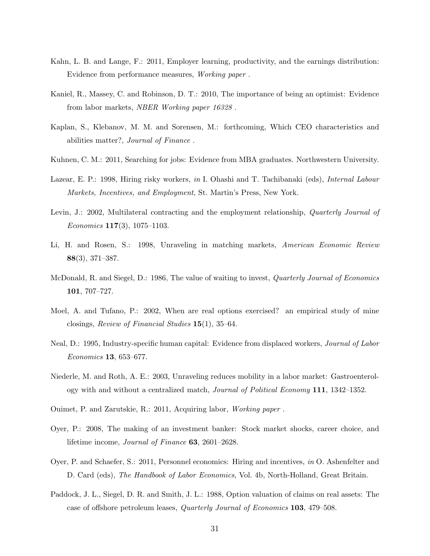- Kahn, L. B. and Lange, F.: 2011, Employer learning, productivity, and the earnings distribution: Evidence from performance measures, Working paper .
- Kaniel, R., Massey, C. and Robinson, D. T.: 2010, The importance of being an optimist: Evidence from labor markets, NBER Working paper 16328 .
- Kaplan, S., Klebanov, M. M. and Sorensen, M.: forthcoming, Which CEO characteristics and abilities matter?, Journal of Finance .
- Kuhnen, C. M.: 2011, Searching for jobs: Evidence from MBA graduates. Northwestern University.
- Lazear, E. P.: 1998, Hiring risky workers, in I. Ohashi and T. Tachibanaki (eds), *Internal Labour* Markets, Incentives, and Employment, St. Martin's Press, New York.
- Levin, J.: 2002, Multilateral contracting and the employment relationship, *Quarterly Journal of*  $Economics\ 117(3),\ 1075-1103.$
- Li, H. and Rosen, S.: 1998, Unraveling in matching markets, American Economic Review 88(3), 371–387.
- McDonald, R. and Siegel, D.: 1986, The value of waiting to invest, *Quarterly Journal of Economics* 101, 707–727.
- Moel, A. and Tufano, P.: 2002, When are real options exercised? an empirical study of mine closings, Review of Financial Studies 15(1), 35–64.
- Neal, D.: 1995, Industry-specific human capital: Evidence from displaced workers, *Journal of Labor* Economics 13, 653–677.
- Niederle, M. and Roth, A. E.: 2003, Unraveling reduces mobility in a labor market: Gastroenterology with and without a centralized match, Journal of Political Economy 111, 1342–1352.
- Ouimet, P. and Zarutskie, R.: 2011, Acquiring labor, Working paper .
- Oyer, P.: 2008, The making of an investment banker: Stock market shocks, career choice, and lifetime income, Journal of Finance 63, 2601–2628.
- Oyer, P. and Schaefer, S.: 2011, Personnel economics: Hiring and incentives, in O. Ashenfelter and D. Card (eds), *The Handbook of Labor Economics*, Vol. 4b, North-Holland, Great Britain.
- Paddock, J. L., Siegel, D. R. and Smith, J. L.: 1988, Option valuation of claims on real assets: The case of offshore petroleum leases, Quarterly Journal of Economics 103, 479–508.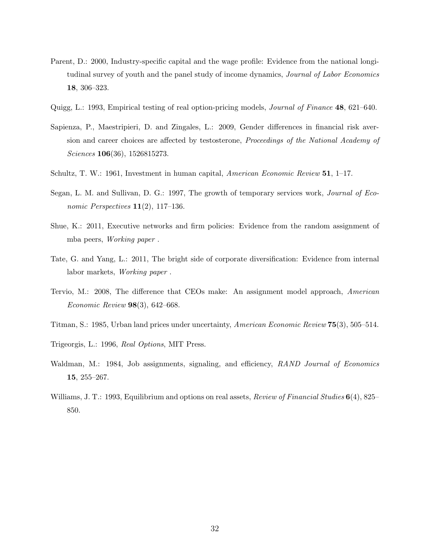- Parent, D.: 2000, Industry-specific capital and the wage profile: Evidence from the national longitudinal survey of youth and the panel study of income dynamics, *Journal of Labor Economics* 18, 306–323.
- Quigg, L.: 1993, Empirical testing of real option-pricing models, Journal of Finance 48, 621–640.
- Sapienza, P., Maestripieri, D. and Zingales, L.: 2009, Gender differences in financial risk aversion and career choices are affected by testosterone, Proceedings of the National Academy of Sciences **106**(36), 1526815273.
- Schultz, T. W.: 1961, Investment in human capital, American Economic Review 51, 1–17.
- Segan, L. M. and Sullivan, D. G.: 1997, The growth of temporary services work, *Journal of Eco*nomic Perspectives  $11(2)$ , 117-136.
- Shue, K.: 2011, Executive networks and firm policies: Evidence from the random assignment of mba peers, Working paper .
- Tate, G. and Yang, L.: 2011, The bright side of corporate diversification: Evidence from internal labor markets, Working paper .
- Tervio, M.: 2008, The difference that CEOs make: An assignment model approach, American Economic Review 98(3), 642–668.
- Titman, S.: 1985, Urban land prices under uncertainty, American Economic Review 75(3), 505–514.
- Trigeorgis, L.: 1996, Real Options, MIT Press.
- Waldman, M.: 1984, Job assignments, signaling, and efficiency, RAND Journal of Economics 15, 255–267.
- Williams, J. T.: 1993, Equilibrium and options on real assets, *Review of Financial Studies*  $6(4)$ , 825– 850.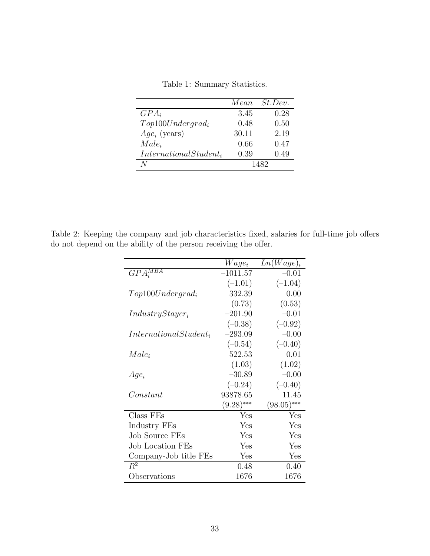<span id="page-33-0"></span>

|  | Table 1: Summary Statistics. |  |
|--|------------------------------|--|
|--|------------------------------|--|

|                           | Mean  | St. Dev. |
|---------------------------|-------|----------|
| $GPA_i$                   | 3.45  | 0.28     |
| $Top100Under grad_i$      | 0.48  | 0.50     |
| $Age_i$ (years)           | 30.11 | 2.19     |
| $Male_i$                  | 0.66  | 0.47     |
| $International Student_i$ | 0.39  | 0.49     |
|                           |       | 1482     |

<span id="page-33-1"></span>Table 2: Keeping the company and job characteristics fixed, salaries for full-time job offers do not depend on the ability of the person receiving the offer.

|                           | $Wage_i$     | $Ln(Wage)_i$  |
|---------------------------|--------------|---------------|
| $GPA_i^{MBA}$             | $-1011.57$   | $-0.01$       |
|                           | $(-1.01)$    | $(-1.04)$     |
| $Top100 Under grad_i$     | 332.39       | 0.00          |
|                           | (0.73)       | (0.53)        |
| $IndustryStayer_i$        | $-201.90$    | $-0.01$       |
|                           | $(-0.38)$    | $(-0.92)$     |
| $International Student_i$ | $-293.09$    | $-0.00$       |
|                           | $(-0.54)$    | $(-0.40)$     |
| $Male_i$                  | 522.53       | 0.01          |
|                           | (1.03)       | (1.02)        |
| $Age_i$                   | $-30.89$     | $-0.00$       |
|                           | $(-0.24)$    | $(-0.40)$     |
| Constant                  | 93878.65     | 11.45         |
|                           | $(9.28)$ *** | $(98.05)$ *** |
| Class FEs                 | Yes          | Yes           |
| Industry FEs              | Yes          | Yes           |
| <b>Job Source FEs</b>     | Yes          | Yes           |
| <b>Job Location FEs</b>   | Yes          | Yes           |
| Company-Job title FEs     | Yes          | Yes           |
| $R^2$                     | 0.48         | 0.40          |
| Observations              | 1676         | 1676          |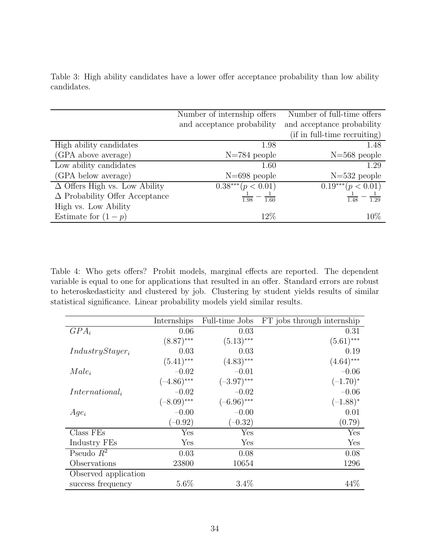<span id="page-34-0"></span>

|             |  |  |  | Table 3: High ability candidates have a lower offer acceptance probability than low ability |  |  |
|-------------|--|--|--|---------------------------------------------------------------------------------------------|--|--|
| candidates. |  |  |  |                                                                                             |  |  |

|                                       | Number of internship offers | Number of full-time offers   |
|---------------------------------------|-----------------------------|------------------------------|
|                                       | and acceptance probability  | and acceptance probability   |
|                                       |                             | (if in full-time recruiting) |
| High ability candidates               | 1.98                        | 1.48                         |
| (GPA above average)                   | $N=784$ people              | $N=568$ people               |
| Low ability candidates                | 1.60                        | 1.29                         |
| (GPA below average)                   | $N=698$ people              | $N=532$ people               |
| $\Delta$ Offers High vs. Low Ability  | $0.38***$ $(p < 0.01)$      | $0.19***$ $(p < 0.01)$       |
| $\Delta$ Probability Offer Acceptance | 1.98<br>1.60                | $\overline{1.29}$<br>1.48    |
| High vs. Low Ability                  |                             |                              |
| Estimate for $(1-p)$                  | 12\%                        | $10\%$                       |

<span id="page-34-1"></span>Table 4: Who gets offers? Probit models, marginal effects are reported. The dependent variable is equal to one for applications that resulted in an offer. Standard errors are robust to heteroskedasticity and clustered by job. Clustering by student yields results of similar statistical significance. Linear probability models yield similar results.

|                      | Internships   | Full-time Jobs | FT jobs through internship |
|----------------------|---------------|----------------|----------------------------|
| $GPA_i$              | 0.06          | 0.03           | 0.31                       |
|                      | $(8.87)$ ***  | $(5.13)$ ***   | $(5.61)$ ***               |
| $IndustryStayer_i$   | 0.03          | 0.03           | 0.19                       |
|                      | $(5.41)$ ***  | $(4.83)$ ***   | $(4.64)$ ***               |
| $Male_i$             | $-0.02$       | $-0.01$        | $-0.06$                    |
|                      | $(-4.86)$ *** | $(-3.97)$ ***  | $(-1.70)^*$                |
| $International_i$    | $-0.02$       | $-0.02$        | $-0.06$                    |
|                      | $(-8.09)$ *** | $(-6.96)$ ***  | $(-1.88)^*$                |
| $Age_i$              | $-0.00$       | $-0.00$        | 0.01                       |
|                      | $(-0.92)$     | $(-0.32)$      | (0.79)                     |
| Class FEs            | Yes           | ${\rm Yes}$    | Yes                        |
| Industry FEs         | Yes           | Yes            | Yes                        |
| Pseudo $R^2$         | 0.03          | 0.08           | 0.08                       |
| Observations         | 23800         | 10654          | 1296                       |
| Observed application |               |                |                            |
| success frequency    | $5.6\%$       | $3.4\%$        | 44%                        |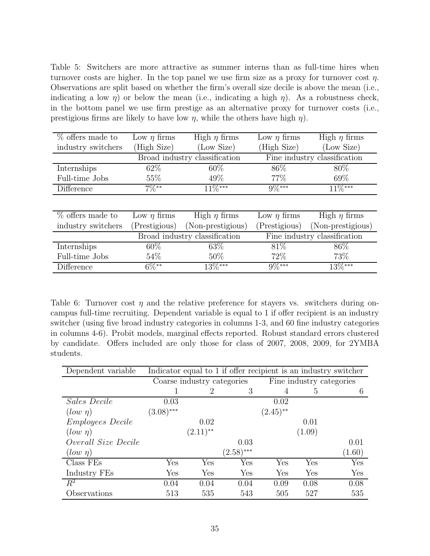<span id="page-35-0"></span>Table 5: Switchers are more attractive as summer interns than as full-time hires when turnover costs are higher. In the top panel we use firm size as a proxy for turnover cost  $\eta$ . Observations are split based on whether the firm's overall size decile is above the mean (i.e., indicating a low  $\eta$ ) or below the mean (i.e., indicating a high  $\eta$ ). As a robustness check, in the bottom panel we use firm prestige as an alternative proxy for turnover costs (i.e., prestigious firms are likely to have low  $\eta$ , while the others have high  $\eta$ ).

| $\overline{\%}$ offers made to | Low $\eta$ firms | High $\eta$ firms             | Low $\eta$ firms | High $\eta$ firms            |
|--------------------------------|------------------|-------------------------------|------------------|------------------------------|
| industry switchers             | (High Size)      | (Low Size)                    |                  | (Low Size)                   |
|                                |                  | Broad industry classification |                  | Fine industry classification |
| Internships                    | $62\%$           | 60\%                          | 86\%             | 80\%                         |
| Full-time Jobs                 | 55\%             | 49\%                          | 77\%             | $69\%$                       |
| Difference                     | $7\%**$          | $11\%***$                     | $9\%***$         | $11\%***$                    |
|                                |                  |                               |                  |                              |
| $%$ offers made to             | Low $\eta$ firms | High $\eta$ firms             | Low $\eta$ firms | High $\eta$ firms            |
| industry switchers             | Prestigious)     | (Non-prestigious)             | Prestigious)     | (Non-prestigious)            |
|                                |                  | Broad industry classification |                  | Fine industry classification |
| Internships                    | $60\%$           | 63\%                          | 81\%             | 86\%                         |
| Full-time Jobs                 | $54\%$           | $50\%$                        | 72\%             | 73\%                         |
| Difference                     | $6\%^{**}$       | $13\%***$                     | $9\%***$         | $13\%***$                    |

<span id="page-35-1"></span>Table 6: Turnover cost  $\eta$  and the relative preference for stayers vs. switchers during oncampus full-time recruiting. Dependent variable is equal to 1 if offer recipient is an industry switcher (using five broad industry categories in columns 1-3, and 60 fine industry categories in columns 4-6). Probit models, marginal effects reported. Robust standard errors clustered by candidate. Offers included are only those for class of 2007, 2008, 2009, for 2YMBA students.

| Dependent variable      | Indicator equal to 1 if offer recipient is an industry switcher |                            |                      |                |        |                          |
|-------------------------|-----------------------------------------------------------------|----------------------------|----------------------|----------------|--------|--------------------------|
|                         |                                                                 | Coarse industry categories |                      |                |        | Fine industry categories |
|                         |                                                                 | 2                          | 3                    | $\overline{4}$ | 5      | 6                        |
| Sales Decile            | 0.03                                                            |                            |                      | 0.02           |        |                          |
| $(low \eta)$            | $(3.08)$ ***                                                    |                            |                      | $(2.45)$ **    |        |                          |
| <i>Employees Decile</i> |                                                                 | 0.02                       |                      |                | 0.01   |                          |
| $(low \eta)$            |                                                                 | $(2.11)$ **                |                      |                | (1.09) |                          |
| Overall Size Decile     |                                                                 |                            | 0.03                 |                |        | 0.01                     |
| $(low \eta)$            |                                                                 |                            | $(2.58)$ ***         |                |        | (1.60)                   |
| Class FEs               | Yes                                                             | Yes                        | $\operatorname{Yes}$ | Yes            | Yes    | Yes                      |
| Industry FEs            | Yes                                                             | $\operatorname{Yes}$       | $\operatorname{Yes}$ | ${\rm Yes}$    | Yes    | Yes                      |
| $\overline{R^2}$        | 0.04                                                            | 0.04                       | 0.04                 | 0.09           | 0.08   | 0.08                     |
| Observations            | 513                                                             | 535                        | 543                  | 505            | 527    | 535                      |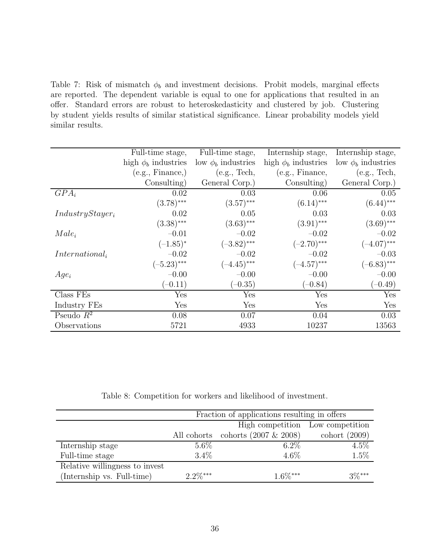<span id="page-36-0"></span>Table 7: Risk of mismatch  $\phi_b$  and investment decisions. Probit models, marginal effects are reported. The dependent variable is equal to one for applications that resulted in an offer. Standard errors are robust to heteroskedasticity and clustered by job. Clustering by student yields results of similar statistical significance. Linear probability models yield similar results.

|                    | Full-time stage,         | Full-time stage,        | Internship stage,        | Internship stage,       |
|--------------------|--------------------------|-------------------------|--------------------------|-------------------------|
|                    | high $\phi_b$ industries | low $\phi_b$ industries | high $\phi_b$ industries | low $\phi_b$ industries |
|                    | (e.g., Finance,)         | (e.g., Tech,            | (e.g., Finance,          | (e.g., Tech,            |
|                    | Consulting)              | General Corp.)          | Consulting)              | General Corp.)          |
| $GPA_i$            | 0.02                     | 0.03                    | 0.06                     | 0.05                    |
|                    | $(3.78)$ ***             | $(3.57)$ ***            | $(6.14)$ ***             | $(6.44)$ ***            |
| $IndustryStayer_i$ | 0.02                     | 0.05                    | 0.03                     | 0.03                    |
|                    | $(3.38)$ ***             | $(3.63)$ ***            | $(3.91)$ ***             | $(3.69)$ ***            |
| $Male_i$           | $-0.01$                  | $-0.02$                 | $-0.02$                  | $-0.02$                 |
|                    | $(-1.85)^{*}$            | $(-3.82)$ ***           | $(-2.70)$ ***            | $(-4.07)$ ***           |
| $International_i$  | $-0.02$                  | $-0.02$                 | $-0.02$                  | $-0.03$                 |
|                    | $(-5.23)$ ***            | $(-4.45)$ ***           | $(-4.57)$ ***            | $(-6.83)$ ***           |
| $Age_i$            | $-0.00$                  | $-0.00$                 | $-0.00$                  | $-0.00$                 |
|                    | $(-0.11)$                | $(-0.35)$               | $(-0.84)$                | $(-0.49)$               |
| Class FEs          | Yes                      | Yes                     | Yes                      | Yes                     |
| Industry FEs       | Yes                      | Yes                     | Yes                      | Yes                     |
| Pseudo $R^2$       | 0.08                     | 0.07                    | 0.04                     | 0.03                    |
| Observations       | 5721                     | 4933                    | 10237                    | 13563                   |

<span id="page-36-1"></span>Table 8: Competition for workers and likelihood of investment.

|                                | Fraction of applications resulting in offers |                                      |                 |  |  |
|--------------------------------|----------------------------------------------|--------------------------------------|-----------------|--|--|
|                                | High competition<br>Low competition          |                                      |                 |  |  |
|                                |                                              | All cohorts cohorts $(2007 \& 2008)$ | cohort $(2009)$ |  |  |
| Internship stage               | $5.6\%$                                      | $6.2\%$                              | $4.5\%$         |  |  |
| Full-time stage                | $3.4\%$                                      | $4.6\%$                              | 1.5%            |  |  |
| Relative willingness to invest |                                              |                                      |                 |  |  |
| (Internship vs. Full-time)     | $2.2\%***$                                   | $1.6\%***$                           | $3\%***$        |  |  |